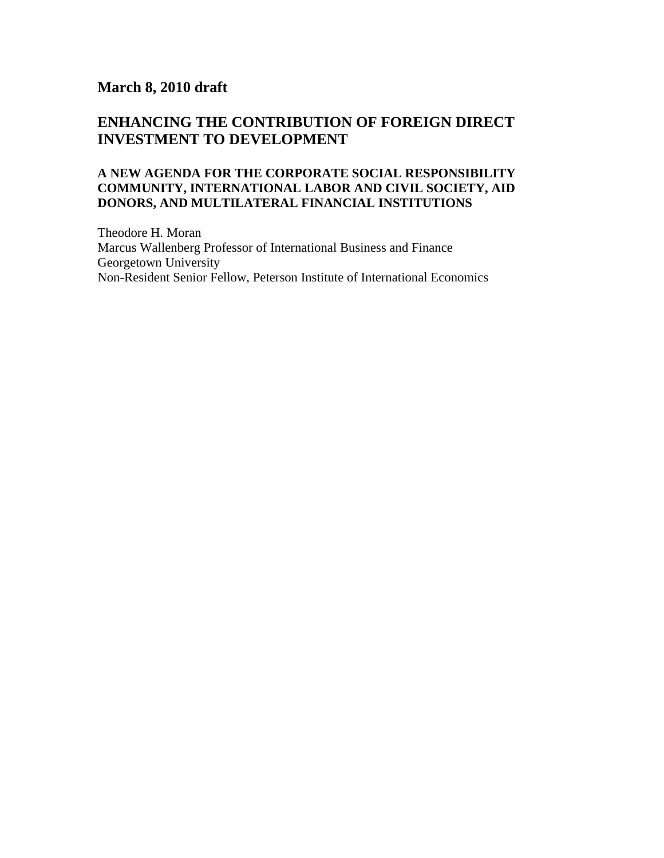# **March 8, 2010 draft**

# **ENHANCING THE CONTRIBUTION OF FOREIGN DIRECT INVESTMENT TO DEVELOPMENT**

### **A NEW AGENDA FOR THE CORPORATE SOCIAL RESPONSIBILITY COMMUNITY, INTERNATIONAL LABOR AND CIVIL SOCIETY, AID DONORS, AND MULTILATERAL FINANCIAL INSTITUTIONS**

Theodore H. Moran Marcus Wallenberg Professor of International Business and Finance Georgetown University Non-Resident Senior Fellow, Peterson Institute of International Economics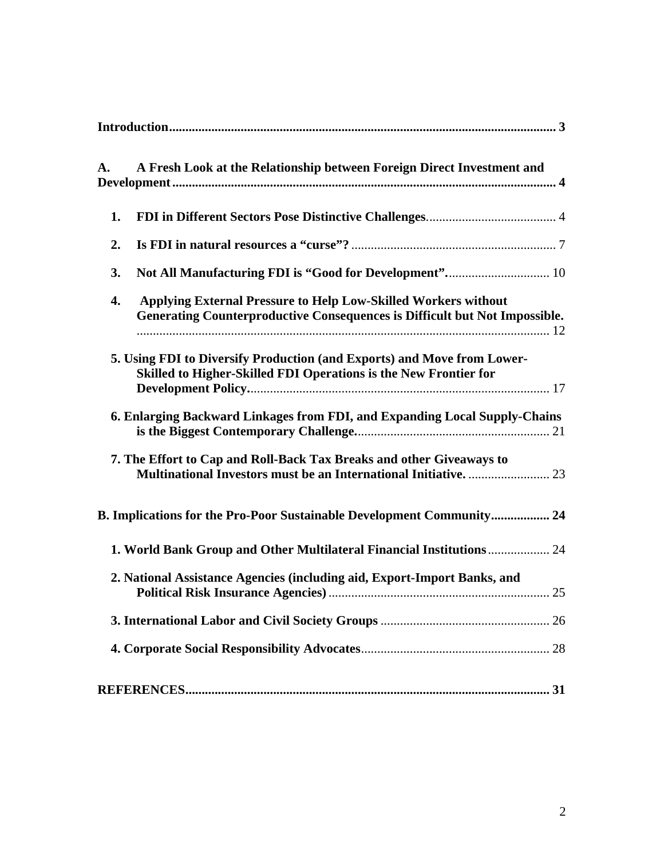| A. | A Fresh Look at the Relationship between Foreign Direct Investment and                                                                              |  |
|----|-----------------------------------------------------------------------------------------------------------------------------------------------------|--|
| 1. |                                                                                                                                                     |  |
| 2. |                                                                                                                                                     |  |
| 3. |                                                                                                                                                     |  |
| 4. | <b>Applying External Pressure to Help Low-Skilled Workers without</b><br>Generating Counterproductive Consequences is Difficult but Not Impossible. |  |
|    | 5. Using FDI to Diversify Production (and Exports) and Move from Lower-<br>Skilled to Higher-Skilled FDI Operations is the New Frontier for         |  |
|    | 6. Enlarging Backward Linkages from FDI, and Expanding Local Supply-Chains                                                                          |  |
|    | 7. The Effort to Cap and Roll-Back Tax Breaks and other Giveaways to                                                                                |  |
|    | B. Implications for the Pro-Poor Sustainable Development Community 24                                                                               |  |
|    | 1. World Bank Group and Other Multilateral Financial Institutions 24                                                                                |  |
|    | 2. National Assistance Agencies (including aid, Export-Import Banks, and                                                                            |  |
|    |                                                                                                                                                     |  |
|    |                                                                                                                                                     |  |
|    |                                                                                                                                                     |  |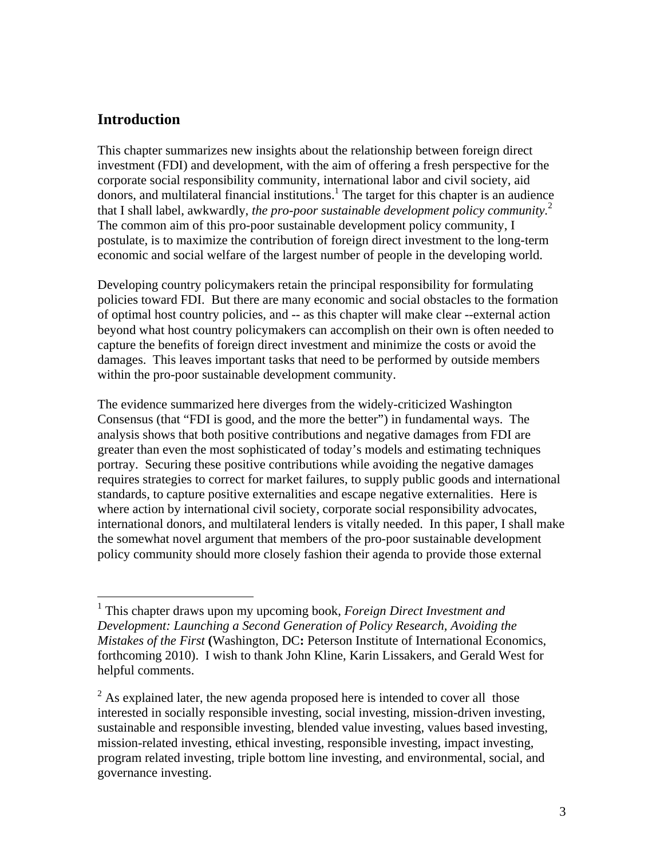### **Introduction**

1

This chapter summarizes new insights about the relationship between foreign direct investment (FDI) and development, with the aim of offering a fresh perspective for the corporate social responsibility community, international labor and civil society, aid donors, and multilateral financial institutions.<sup>1</sup> The target for this chapter is an audience that I shall label, awkwardly, *the pro-poor sustainable development policy community.*<sup>2</sup> The common aim of this pro-poor sustainable development policy community, I postulate, is to maximize the contribution of foreign direct investment to the long-term economic and social welfare of the largest number of people in the developing world.

Developing country policymakers retain the principal responsibility for formulating policies toward FDI. But there are many economic and social obstacles to the formation of optimal host country policies, and -- as this chapter will make clear --external action beyond what host country policymakers can accomplish on their own is often needed to capture the benefits of foreign direct investment and minimize the costs or avoid the damages. This leaves important tasks that need to be performed by outside members within the pro-poor sustainable development community.

The evidence summarized here diverges from the widely-criticized Washington Consensus (that "FDI is good, and the more the better") in fundamental ways. The analysis shows that both positive contributions and negative damages from FDI are greater than even the most sophisticated of today's models and estimating techniques portray. Securing these positive contributions while avoiding the negative damages requires strategies to correct for market failures, to supply public goods and international standards, to capture positive externalities and escape negative externalities. Here is where action by international civil society, corporate social responsibility advocates, international donors, and multilateral lenders is vitally needed. In this paper, I shall make the somewhat novel argument that members of the pro-poor sustainable development policy community should more closely fashion their agenda to provide those external

<sup>1</sup> This chapter draws upon my upcoming book, *Foreign Direct Investment and Development: Launching a Second Generation of Policy Research, Avoiding the Mistakes of the First* **(**Washington, DC**:** Peterson Institute of International Economics, forthcoming 2010). I wish to thank John Kline, Karin Lissakers, and Gerald West for helpful comments.

 $2^{2}$  As explained later, the new agenda proposed here is intended to cover all those interested in socially responsible investing, social investing, mission-driven investing, sustainable and responsible investing, blended value investing, values based investing, mission-related investing, ethical investing, responsible investing, impact investing, program related investing, triple bottom line investing, and environmental, social, and governance investing.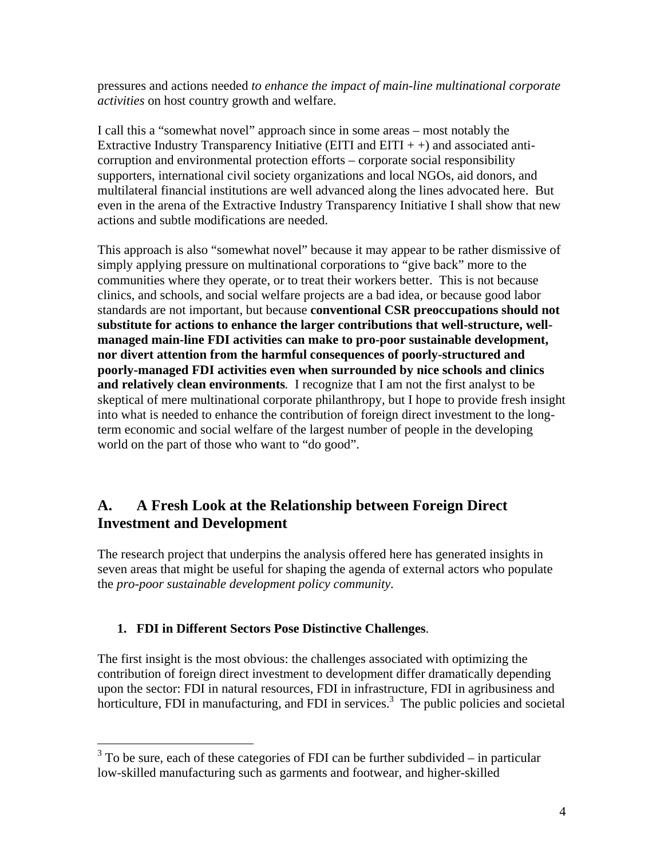pressures and actions needed *to enhance the impact of main-line multinational corporate activities* on host country growth and welfare.

I call this a "somewhat novel" approach since in some areas – most notably the Extractive Industry Transparency Initiative (EITI and EITI  $++$ ) and associated anticorruption and environmental protection efforts – corporate social responsibility supporters, international civil society organizations and local NGOs, aid donors, and multilateral financial institutions are well advanced along the lines advocated here. But even in the arena of the Extractive Industry Transparency Initiative I shall show that new actions and subtle modifications are needed.

This approach is also "somewhat novel" because it may appear to be rather dismissive of simply applying pressure on multinational corporations to "give back" more to the communities where they operate, or to treat their workers better. This is not because clinics, and schools, and social welfare projects are a bad idea, or because good labor standards are not important, but because **conventional CSR preoccupations should not substitute for actions to enhance the larger contributions that well-structure, wellmanaged main-line FDI activities can make to pro-poor sustainable development, nor divert attention from the harmful consequences of poorly-structured and poorly-managed FDI activities even when surrounded by nice schools and clinics and relatively clean environments***.* I recognize that I am not the first analyst to be skeptical of mere multinational corporate philanthropy, but I hope to provide fresh insight into what is needed to enhance the contribution of foreign direct investment to the longterm economic and social welfare of the largest number of people in the developing world on the part of those who want to "do good".

# **A. A Fresh Look at the Relationship between Foreign Direct Investment and Development**

The research project that underpins the analysis offered here has generated insights in seven areas that might be useful for shaping the agenda of external actors who populate the *pro-poor sustainable development policy community.* 

# **1. FDI in Different Sectors Pose Distinctive Challenges**.

 $\overline{a}$ 

The first insight is the most obvious: the challenges associated with optimizing the contribution of foreign direct investment to development differ dramatically depending upon the sector: FDI in natural resources, FDI in infrastructure, FDI in agribusiness and horticulture, FDI in manufacturing, and FDI in services.<sup>3</sup> The public policies and societal

 $3$  To be sure, each of these categories of FDI can be further subdivided – in particular low-skilled manufacturing such as garments and footwear, and higher-skilled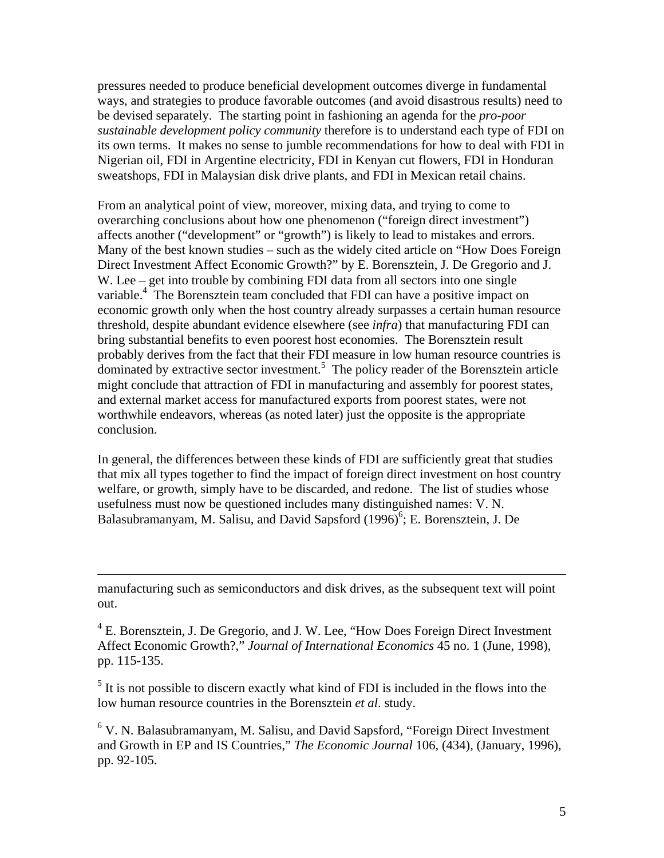pressures needed to produce beneficial development outcomes diverge in fundamental ways, and strategies to produce favorable outcomes (and avoid disastrous results) need to be devised separately. The starting point in fashioning an agenda for the *pro-poor sustainable development policy community* therefore is to understand each type of FDI on its own terms. It makes no sense to jumble recommendations for how to deal with FDI in Nigerian oil, FDI in Argentine electricity, FDI in Kenyan cut flowers, FDI in Honduran sweatshops, FDI in Malaysian disk drive plants, and FDI in Mexican retail chains.

From an analytical point of view, moreover, mixing data, and trying to come to overarching conclusions about how one phenomenon ("foreign direct investment") affects another ("development" or "growth") is likely to lead to mistakes and errors. Many of the best known studies – such as the widely cited article on "How Does Foreign Direct Investment Affect Economic Growth?" by E. Borensztein, J. De Gregorio and J. W. Lee – get into trouble by combining FDI data from all sectors into one single variable.<sup>4</sup> The Borensztein team concluded that FDI can have a positive impact on economic growth only when the host country already surpasses a certain human resource threshold, despite abundant evidence elsewhere (see *infra*) that manufacturing FDI can bring substantial benefits to even poorest host economies. The Borensztein result probably derives from the fact that their FDI measure in low human resource countries is  $\frac{1}{2}$  dominated by extractive sector investment.<sup>5</sup> The policy reader of the Borensztein article might conclude that attraction of FDI in manufacturing and assembly for poorest states, and external market access for manufactured exports from poorest states, were not worthwhile endeavors, whereas (as noted later) just the opposite is the appropriate conclusion.

In general, the differences between these kinds of FDI are sufficiently great that studies that mix all types together to find the impact of foreign direct investment on host country welfare, or growth, simply have to be discarded, and redone. The list of studies whose usefulness must now be questioned includes many distinguished names: V. N. Balasubramanyam, M. Salisu, and David Sapsford (1996)<sup>6</sup>; E. Borensztein, J. De

manufacturing such as semiconductors and disk drives, as the subsequent text will point out.

 $\overline{a}$ 

<sup>4</sup> E. Borensztein, J. De Gregorio, and J. W. Lee, "How Does Foreign Direct Investment Affect Economic Growth?," *Journal of International Economics* 45 no. 1 (June, 1998), pp. 115-135.

 $<sup>5</sup>$  It is not possible to discern exactly what kind of FDI is included in the flows into the</sup> low human resource countries in the Borensztein *et al*. study.

<sup>6</sup> V. N. Balasubramanyam, M. Salisu, and David Sapsford, "Foreign Direct Investment and Growth in EP and IS Countries," *The Economic Journal* 106, (434), (January, 1996), pp. 92-105.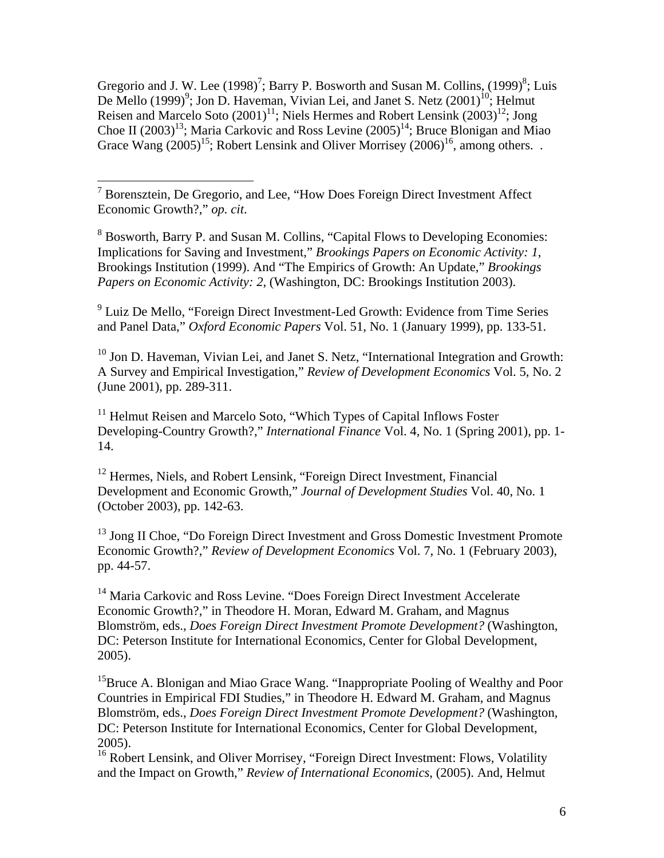Gregorio and J. W. Lee  $(1998)^7$ ; Barry P. Bosworth and Susan M. Collins,  $(1999)^8$ ; Luis De Mello  $(1999)^9$ ; Jon D. Haveman, Vivian Lei, and Janet S. Netz  $(2001)^{10}$ ; Helmut Reisen and Marcelo Soto  $(2001)^{11}$ ; Niels Hermes and Robert Lensink  $(2003)^{12}$ ; Jong Choe II  $(2003)^{13}$ ; Maria Carkovic and Ross Levine  $(2005)^{14}$ ; Bruce Blonigan and Miao Grace Wang  $(2005)^{15}$ ; Robert Lensink and Oliver Morrisey  $(2006)^{16}$ , among others...

<sup>8</sup> Bosworth, Barry P. and Susan M. Collins, "Capital Flows to Developing Economies: Implications for Saving and Investment," *Brookings Papers on Economic Activity: 1*, Brookings Institution (1999). And "The Empirics of Growth: An Update," *Brookings Papers on Economic Activity: 2*, (Washington, DC: Brookings Institution 2003).

<sup>9</sup> Luiz De Mello, "Foreign Direct Investment-Led Growth: Evidence from Time Series and Panel Data," *Oxford Economic Papers* Vol. 51, No. 1 (January 1999), pp. 133-51.

<sup>10</sup> Jon D. Haveman, Vivian Lei, and Janet S. Netz, "International Integration and Growth: A Survey and Empirical Investigation," *Review of Development Economics* Vol. 5, No. 2 (June 2001), pp. 289-311.

<sup>11</sup> Helmut Reisen and Marcelo Soto, "Which Types of Capital Inflows Foster Developing-Country Growth?," *International Finance* Vol. 4, No. 1 (Spring 2001), pp. 1- 14.

<sup>12</sup> Hermes, Niels, and Robert Lensink, "Foreign Direct Investment, Financial Development and Economic Growth," *Journal of Development Studies* Vol. 40, No. 1 (October 2003), pp. 142-63.

<sup>13</sup> Jong II Choe, "Do Foreign Direct Investment and Gross Domestic Investment Promote Economic Growth?," *Review of Development Economics* Vol. 7, No. 1 (February 2003), pp. 44-57.

<sup>14</sup> Maria Carkovic and Ross Levine. "Does Foreign Direct Investment Accelerate Economic Growth?," in Theodore H. Moran, Edward M. Graham, and Magnus Blomström, eds., *Does Foreign Direct Investment Promote Development?* (Washington, DC: Peterson Institute for International Economics, Center for Global Development, 2005).

<sup>15</sup>Bruce A. Blonigan and Miao Grace Wang. "Inappropriate Pooling of Wealthy and Poor Countries in Empirical FDI Studies," in Theodore H. Edward M. Graham, and Magnus Blomström, eds., *Does Foreign Direct Investment Promote Development?* (Washington, DC: Peterson Institute for International Economics, Center for Global Development, 2005).

<sup>16</sup> Robert Lensink, and Oliver Morrisey, "Foreign Direct Investment: Flows, Volatility and the Impact on Growth," *Review of International Economics*, (2005). And, Helmut

<sup>&</sup>lt;sup>7</sup> Borensztein, De Gregorio, and Lee, "How Does Foreign Direct Investment Affect Economic Growth?," *op. cit*.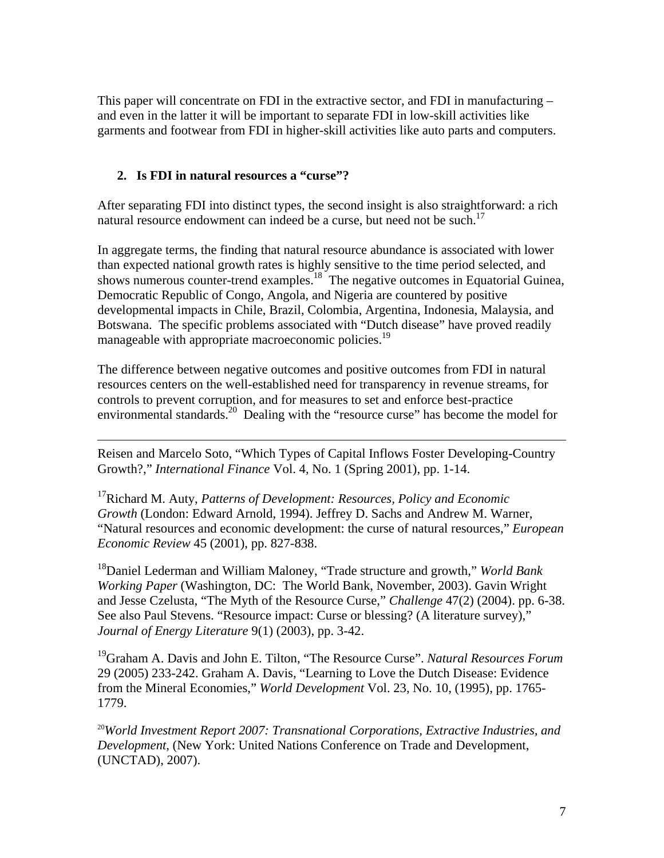This paper will concentrate on FDI in the extractive sector, and FDI in manufacturing – and even in the latter it will be important to separate FDI in low-skill activities like garments and footwear from FDI in higher-skill activities like auto parts and computers.

## **2. Is FDI in natural resources a "curse"?**

<u>.</u>

After separating FDI into distinct types, the second insight is also straightforward: a rich natural resource endowment can indeed be a curse, but need not be such.<sup>17</sup>

In aggregate terms, the finding that natural resource abundance is associated with lower than expected national growth rates is highly sensitive to the time period selected, and shows numerous counter-trend examples.<sup>18</sup> The negative outcomes in Equatorial Guinea, Democratic Republic of Congo, Angola, and Nigeria are countered by positive developmental impacts in Chile, Brazil, Colombia, Argentina, Indonesia, Malaysia, and Botswana. The specific problems associated with "Dutch disease" have proved readily manageable with appropriate macroeconomic policies.<sup>19</sup>

The difference between negative outcomes and positive outcomes from FDI in natural resources centers on the well-established need for transparency in revenue streams, for controls to prevent corruption, and for measures to set and enforce best-practice environmental standards.<sup>20</sup> Dealing with the "resource curse" has become the model for

Reisen and Marcelo Soto, "Which Types of Capital Inflows Foster Developing-Country Growth?," *International Finance* Vol. 4, No. 1 (Spring 2001), pp. 1-14.

17Richard M. Auty, *Patterns of Development: Resources, Policy and Economic Growth* (London: Edward Arnold, 1994). Jeffrey D. Sachs and Andrew M. Warner, "Natural resources and economic development: the curse of natural resources," *European Economic Review* 45 (2001), pp. 827-838.

18Daniel Lederman and William Maloney, "Trade structure and growth," *World Bank Working Paper* (Washington, DC: The World Bank, November, 2003). Gavin Wright and Jesse Czelusta, "The Myth of the Resource Curse," *Challenge* 47(2) (2004). pp. 6-38. See also Paul Stevens. "Resource impact: Curse or blessing? (A literature survey)," *Journal of Energy Literature* 9(1) (2003), pp. 3-42.

19Graham A. Davis and John E. Tilton, "The Resource Curse". *Natural Resources Forum* 29 (2005) 233-242. Graham A. Davis, "Learning to Love the Dutch Disease: Evidence from the Mineral Economies," *World Development* Vol. 23, No. 10, (1995), pp. 1765- 1779.

<sup>20</sup>*World Investment Report 2007: Transnational Corporations, Extractive Industries, and Development*, (New York: United Nations Conference on Trade and Development, (UNCTAD), 2007).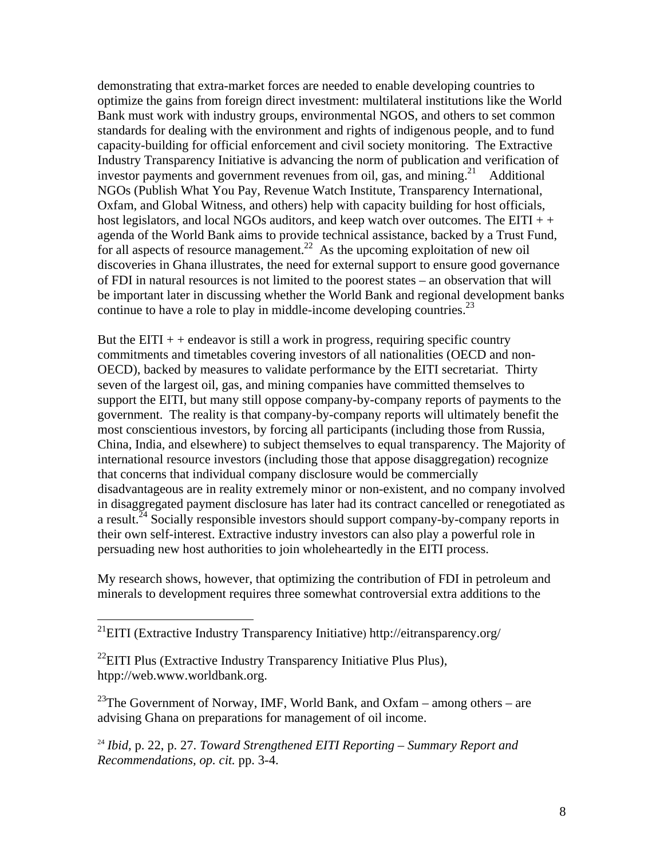demonstrating that extra-market forces are needed to enable developing countries to optimize the gains from foreign direct investment: multilateral institutions like the World Bank must work with industry groups, environmental NGOS, and others to set common standards for dealing with the environment and rights of indigenous people, and to fund capacity-building for official enforcement and civil society monitoring. The Extractive Industry Transparency Initiative is advancing the norm of publication and verification of investor payments and government revenues from oil, gas, and mining.<sup>21</sup> Additional NGOs (Publish What You Pay, Revenue Watch Institute, Transparency International, Oxfam, and Global Witness, and others) help with capacity building for host officials, host legislators, and local NGOs auditors, and keep watch over outcomes. The  $EITI + +$ agenda of the World Bank aims to provide technical assistance, backed by a Trust Fund, for all aspects of resource management.<sup>22</sup> As the upcoming exploitation of new oil discoveries in Ghana illustrates, the need for external support to ensure good governance of FDI in natural resources is not limited to the poorest states – an observation that will be important later in discussing whether the World Bank and regional development banks continue to have a role to play in middle-income developing countries.<sup>23</sup>

But the  $EITI + +$  endeavor is still a work in progress, requiring specific country commitments and timetables covering investors of all nationalities (OECD and non-OECD), backed by measures to validate performance by the EITI secretariat. Thirty seven of the largest oil, gas, and mining companies have committed themselves to support the EITI, but many still oppose company-by-company reports of payments to the government. The reality is that company-by-company reports will ultimately benefit the most conscientious investors, by forcing all participants (including those from Russia, China, India, and elsewhere) to subject themselves to equal transparency. The Majority of international resource investors (including those that appose disaggregation) recognize that concerns that individual company disclosure would be commercially disadvantageous are in reality extremely minor or non-existent, and no company involved in disaggregated payment disclosure has later had its contract cancelled or renegotiated as a result.<sup>24</sup> Socially responsible investors should support company-by-company reports in their own self-interest. Extractive industry investors can also play a powerful role in persuading new host authorities to join wholeheartedly in the EITI process.

My research shows, however, that optimizing the contribution of FDI in petroleum and minerals to development requires three somewhat controversial extra additions to the

 $^{22}$ EITI Plus (Extractive Industry Transparency Initiative Plus Plus), htpp://web.www.worldbank.org.

 $\overline{a}$ 

<sup>23</sup>The Government of Norway, IMF, World Bank, and Oxfam – among others – are advising Ghana on preparations for management of oil income.

<sup>24</sup> *Ibid,* p. 22, p. 27. *Toward Strengthened EITI Reporting – Summary Report and Recommendations, op. cit.* pp. 3-4.

 $^{21}$ EITI (Extractive Industry Transparency Initiative) http://eitransparency.org/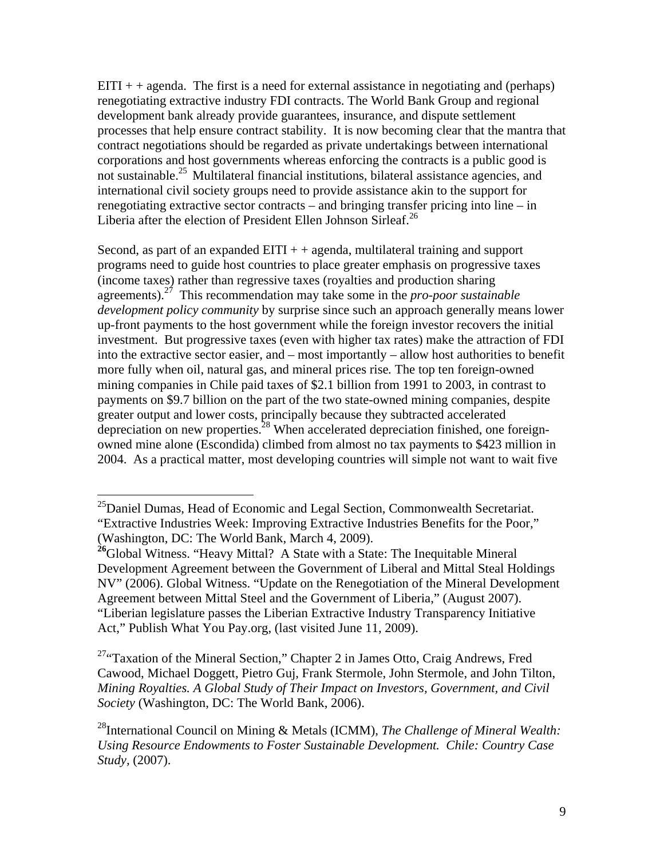$EITI + + agenda$ . The first is a need for external assistance in negotiating and (perhaps) renegotiating extractive industry FDI contracts. The World Bank Group and regional development bank already provide guarantees, insurance, and dispute settlement processes that help ensure contract stability. It is now becoming clear that the mantra that contract negotiations should be regarded as private undertakings between international corporations and host governments whereas enforcing the contracts is a public good is not sustainable.25 Multilateral financial institutions, bilateral assistance agencies, and international civil society groups need to provide assistance akin to the support for renegotiating extractive sector contracts – and bringing transfer pricing into line – in Liberia after the election of President Ellen Johnson Sirleaf.<sup>26</sup>

Second, as part of an expanded  $EITI + +$  agenda, multilateral training and support programs need to guide host countries to place greater emphasis on progressive taxes (income taxes) rather than regressive taxes (royalties and production sharing agreements).27 This recommendation may take some in the *pro-poor sustainable development policy community* by surprise since such an approach generally means lower up-front payments to the host government while the foreign investor recovers the initial investment. But progressive taxes (even with higher tax rates) make the attraction of FDI into the extractive sector easier, and – most importantly – allow host authorities to benefit more fully when oil, natural gas, and mineral prices rise*.* The top ten foreign-owned mining companies in Chile paid taxes of \$2.1 billion from 1991 to 2003, in contrast to payments on \$9.7 billion on the part of the two state-owned mining companies, despite greater output and lower costs, principally because they subtracted accelerated depreciation on new properties.<sup>28</sup> When accelerated depreciation finished, one foreignowned mine alone (Escondida) climbed from almost no tax payments to \$423 million in 2004. As a practical matter, most developing countries will simple not want to wait five

 $\overline{a}$ 

<sup>27</sup>"Taxation of the Mineral Section," Chapter 2 in James Otto, Craig Andrews, Fred Cawood, Michael Doggett, Pietro Guj, Frank Stermole, John Stermole, and John Tilton, *Mining Royalties. A Global Study of Their Impact on Investors, Government, and Civil Society* (Washington, DC: The World Bank, 2006).

 $^{25}$ Daniel Dumas, Head of Economic and Legal Section, Commonwealth Secretariat. "Extractive Industries Week: Improving Extractive Industries Benefits for the Poor," (Washington, DC: The World Bank, March 4, 2009).

<sup>&</sup>lt;sup>26</sup>Global Witness. "Heavy Mittal? A State with a State: The Inequitable Mineral Development Agreement between the Government of Liberal and Mittal Steal Holdings NV" (2006). Global Witness. "Update on the Renegotiation of the Mineral Development Agreement between Mittal Steel and the Government of Liberia," (August 2007). "Liberian legislature passes the Liberian Extractive Industry Transparency Initiative Act," Publish What You Pay.org, (last visited June 11, 2009).

<sup>28</sup>International Council on Mining & Metals (ICMM), *The Challenge of Mineral Wealth: Using Resource Endowments to Foster Sustainable Development. Chile: Country Case Study,* (2007).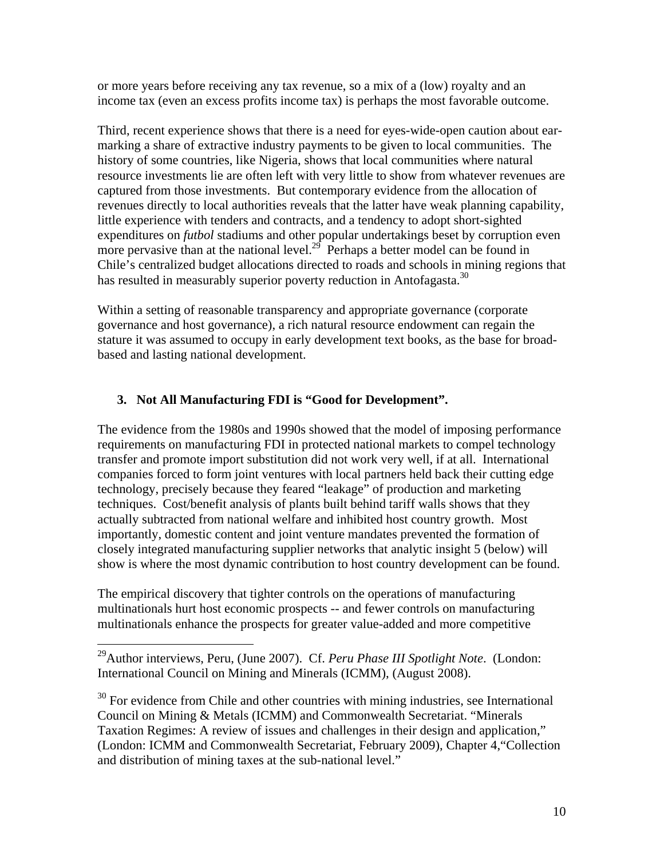or more years before receiving any tax revenue, so a mix of a (low) royalty and an income tax (even an excess profits income tax) is perhaps the most favorable outcome.

Third, recent experience shows that there is a need for eyes-wide-open caution about earmarking a share of extractive industry payments to be given to local communities. The history of some countries, like Nigeria, shows that local communities where natural resource investments lie are often left with very little to show from whatever revenues are captured from those investments. But contemporary evidence from the allocation of revenues directly to local authorities reveals that the latter have weak planning capability, little experience with tenders and contracts, and a tendency to adopt short-sighted expenditures on *futbol* stadiums and other popular undertakings beset by corruption even more pervasive than at the national level.<sup>29</sup> Perhaps a better model can be found in Chile's centralized budget allocations directed to roads and schools in mining regions that has resulted in measurably superior poverty reduction in Antofagasta.<sup>30</sup>

Within a setting of reasonable transparency and appropriate governance (corporate governance and host governance), a rich natural resource endowment can regain the stature it was assumed to occupy in early development text books, as the base for broadbased and lasting national development.

### **3. Not All Manufacturing FDI is "Good for Development".**

The evidence from the 1980s and 1990s showed that the model of imposing performance requirements on manufacturing FDI in protected national markets to compel technology transfer and promote import substitution did not work very well, if at all. International companies forced to form joint ventures with local partners held back their cutting edge technology, precisely because they feared "leakage" of production and marketing techniques. Cost/benefit analysis of plants built behind tariff walls shows that they actually subtracted from national welfare and inhibited host country growth. Most importantly, domestic content and joint venture mandates prevented the formation of closely integrated manufacturing supplier networks that analytic insight 5 (below) will show is where the most dynamic contribution to host country development can be found.

The empirical discovery that tighter controls on the operations of manufacturing multinationals hurt host economic prospects -- and fewer controls on manufacturing multinationals enhance the prospects for greater value-added and more competitive

29Author interviews, Peru, (June 2007). Cf. *Peru Phase III Spotlight Note*. (London: International Council on Mining and Minerals (ICMM), (August 2008).

<u>.</u>

 $30$  For evidence from Chile and other countries with mining industries, see International Council on Mining & Metals (ICMM) and Commonwealth Secretariat. "Minerals Taxation Regimes: A review of issues and challenges in their design and application," (London: ICMM and Commonwealth Secretariat, February 2009), Chapter 4,"Collection and distribution of mining taxes at the sub-national level."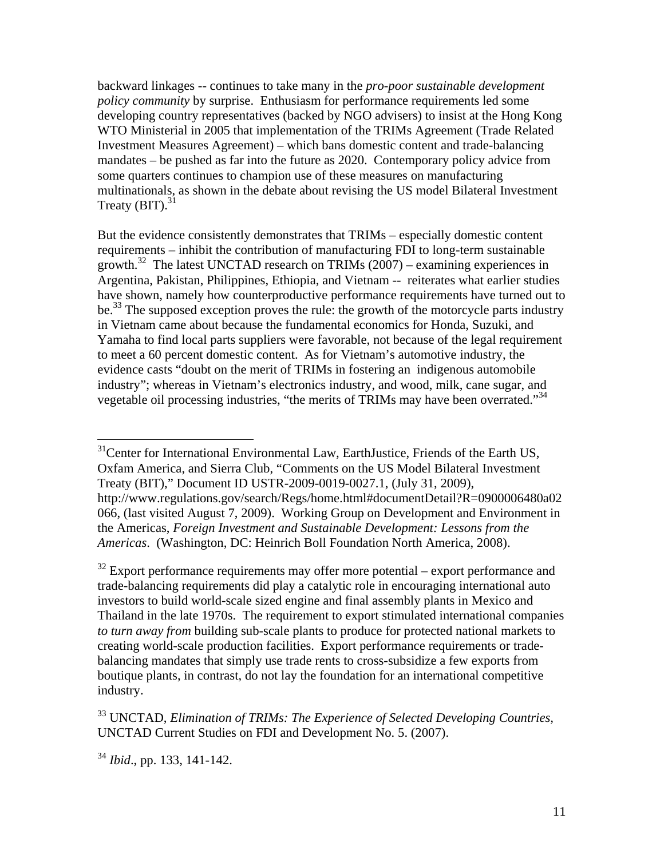backward linkages -- continues to take many in the *pro-poor sustainable development policy community* by surprise. Enthusiasm for performance requirements led some developing country representatives (backed by NGO advisers) to insist at the Hong Kong WTO Ministerial in 2005 that implementation of the TRIMs Agreement (Trade Related Investment Measures Agreement) – which bans domestic content and trade-balancing mandates – be pushed as far into the future as 2020. Contemporary policy advice from some quarters continues to champion use of these measures on manufacturing multinationals, as shown in the debate about revising the US model Bilateral Investment Treaty  $(BIT)$ .<sup>31</sup>

But the evidence consistently demonstrates that TRIMs – especially domestic content requirements – inhibit the contribution of manufacturing FDI to long-term sustainable growth.<sup>32</sup> The latest UNCTAD research on TRIMs  $(2007)$  – examining experiences in Argentina, Pakistan, Philippines, Ethiopia, and Vietnam -- reiterates what earlier studies have shown, namely how counterproductive performance requirements have turned out to be.<sup>33</sup> The supposed exception proves the rule: the growth of the motorcycle parts industry in Vietnam came about because the fundamental economics for Honda, Suzuki, and Yamaha to find local parts suppliers were favorable, not because of the legal requirement to meet a 60 percent domestic content. As for Vietnam's automotive industry, the evidence casts "doubt on the merit of TRIMs in fostering an indigenous automobile industry"; whereas in Vietnam's electronics industry, and wood, milk, cane sugar, and vegetable oil processing industries, "the merits of TRIMs may have been overrated."34

 $32$  Export performance requirements may offer more potential – export performance and trade-balancing requirements did play a catalytic role in encouraging international auto investors to build world-scale sized engine and final assembly plants in Mexico and Thailand in the late 1970s. The requirement to export stimulated international companies *to turn away from* building sub-scale plants to produce for protected national markets to creating world-scale production facilities. Export performance requirements or tradebalancing mandates that simply use trade rents to cross-subsidize a few exports from boutique plants, in contrast, do not lay the foundation for an international competitive industry.

33 UNCTAD, *Elimination of TRIMs: The Experience of Selected Developing Countries,*  UNCTAD Current Studies on FDI and Development No. 5. (2007).

<sup>34</sup> *Ibid*., pp. 133, 141-142.

1

<sup>&</sup>lt;sup>31</sup>Center for International Environmental Law, EarthJustice, Friends of the Earth US, Oxfam America, and Sierra Club, "Comments on the US Model Bilateral Investment Treaty (BIT)," Document ID USTR-2009-0019-0027.1, (July 31, 2009), http://www.regulations.gov/search/Regs/home.html#documentDetail?R=0900006480a02 066, (last visited August 7, 2009). Working Group on Development and Environment in the Americas, *Foreign Investment and Sustainable Development: Lessons from the Americas*. (Washington, DC: Heinrich Boll Foundation North America, 2008).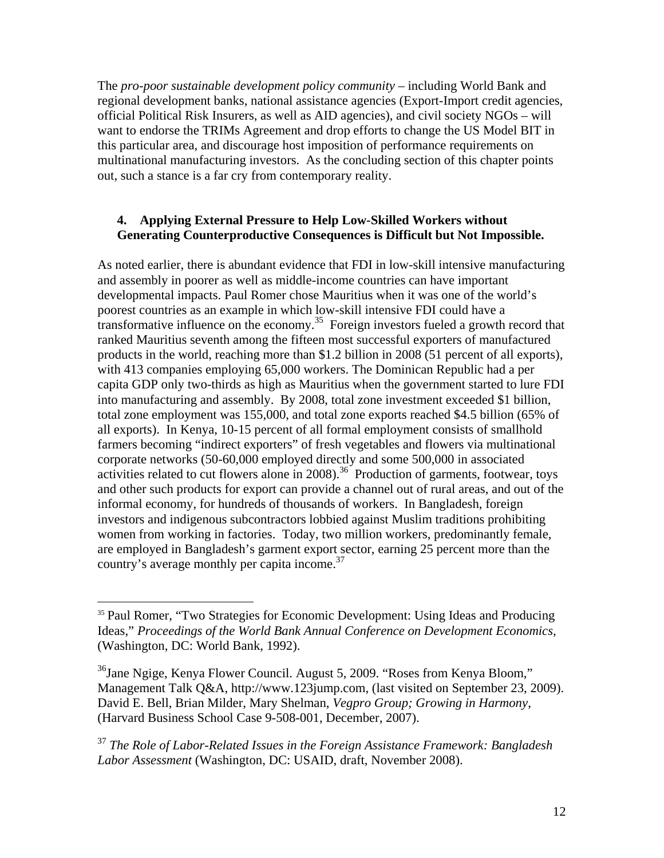The *pro-poor sustainable development policy community* – including World Bank and regional development banks, national assistance agencies (Export-Import credit agencies, official Political Risk Insurers, as well as AID agencies), and civil society NGOs – will want to endorse the TRIMs Agreement and drop efforts to change the US Model BIT in this particular area, and discourage host imposition of performance requirements on multinational manufacturing investors. As the concluding section of this chapter points out, such a stance is a far cry from contemporary reality.

### **4. Applying External Pressure to Help Low-Skilled Workers without Generating Counterproductive Consequences is Difficult but Not Impossible.**

As noted earlier, there is abundant evidence that FDI in low-skill intensive manufacturing and assembly in poorer as well as middle-income countries can have important developmental impacts. Paul Romer chose Mauritius when it was one of the world's poorest countries as an example in which low-skill intensive FDI could have a transformative influence on the economy.<sup>35</sup> Foreign investors fueled a growth record that ranked Mauritius seventh among the fifteen most successful exporters of manufactured products in the world, reaching more than \$1.2 billion in 2008 (51 percent of all exports), with 413 companies employing 65,000 workers. The Dominican Republic had a per capita GDP only two-thirds as high as Mauritius when the government started to lure FDI into manufacturing and assembly. By 2008, total zone investment exceeded \$1 billion, total zone employment was 155,000, and total zone exports reached \$4.5 billion (65% of all exports). In Kenya, 10-15 percent of all formal employment consists of smallhold farmers becoming "indirect exporters" of fresh vegetables and flowers via multinational corporate networks (50-60,000 employed directly and some 500,000 in associated activities related to cut flowers alone in 2008).<sup>36</sup> Production of garments, footwear, toys and other such products for export can provide a channel out of rural areas, and out of the informal economy, for hundreds of thousands of workers. In Bangladesh, foreign investors and indigenous subcontractors lobbied against Muslim traditions prohibiting women from working in factories. Today, two million workers, predominantly female, are employed in Bangladesh's garment export sector, earning 25 percent more than the country's average monthly per capita income.<sup>37</sup>

 $\overline{a}$ 

<sup>37</sup> *The Role of Labor-Related Issues in the Foreign Assistance Framework: Bangladesh Labor Assessment* (Washington, DC: USAID, draft, November 2008).

<sup>&</sup>lt;sup>35</sup> Paul Romer, "Two Strategies for Economic Development: Using Ideas and Producing Ideas," *Proceedings of the World Bank Annual Conference on Development Economics,* (Washington, DC: World Bank, 1992).

<sup>36</sup>Jane Ngige, Kenya Flower Council. August 5, 2009. "Roses from Kenya Bloom," Management Talk Q&A, http://www.123jump.com, (last visited on September 23, 2009). David E. Bell, Brian Milder, Mary Shelman, *Vegpro Group; Growing in Harmony*, (Harvard Business School Case 9-508-001, December, 2007).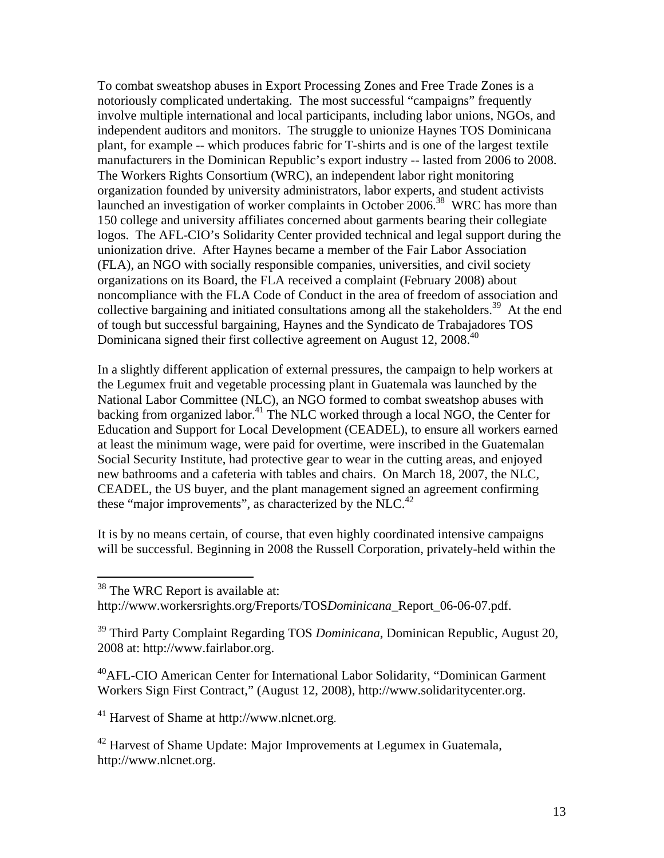To combat sweatshop abuses in Export Processing Zones and Free Trade Zones is a notoriously complicated undertaking. The most successful "campaigns" frequently involve multiple international and local participants, including labor unions, NGOs, and independent auditors and monitors. The struggle to unionize Haynes TOS Dominicana plant, for example -- which produces fabric for T-shirts and is one of the largest textile manufacturers in the Dominican Republic's export industry -- lasted from 2006 to 2008. The Workers Rights Consortium (WRC), an independent labor right monitoring organization founded by university administrators, labor experts, and student activists launched an investigation of worker complaints in October 2006.<sup>38</sup> WRC has more than 150 college and university affiliates concerned about garments bearing their collegiate logos. The AFL-CIO's Solidarity Center provided technical and legal support during the unionization drive. After Haynes became a member of the Fair Labor Association (FLA), an NGO with socially responsible companies, universities, and civil society organizations on its Board, the FLA received a complaint (February 2008) about noncompliance with the FLA Code of Conduct in the area of freedom of association and collective bargaining and initiated consultations among all the stakeholders.<sup>39</sup> At the end of tough but successful bargaining, Haynes and the Syndicato de Trabajadores TOS Dominicana signed their first collective agreement on August 12, 2008.<sup>40</sup>

In a slightly different application of external pressures, the campaign to help workers at the Legumex fruit and vegetable processing plant in Guatemala was launched by the National Labor Committee (NLC), an NGO formed to combat sweatshop abuses with backing from organized labor.<sup>41</sup> The NLC worked through a local NGO, the Center for Education and Support for Local Development (CEADEL), to ensure all workers earned at least the minimum wage, were paid for overtime, were inscribed in the Guatemalan Social Security Institute, had protective gear to wear in the cutting areas, and enjoyed new bathrooms and a cafeteria with tables and chairs. On March 18, 2007, the NLC, CEADEL, the US buyer, and the plant management signed an agreement confirming these "major improvements", as characterized by the NLC.<sup>42</sup>

It is by no means certain, of course, that even highly coordinated intensive campaigns will be successful. Beginning in 2008 the Russell Corporation, privately-held within the

 $\overline{a}$ 

40AFL-CIO American Center for International Labor Solidarity, "Dominican Garment Workers Sign First Contract," (August 12, 2008), http://www.solidaritycenter.org.

 $41$  Harvest of Shame at http://www.nlcnet.org.

 $42$  Harvest of Shame Update: Major Improvements at Legumex in Guatemala, http://www.nlcnet.org.

<sup>&</sup>lt;sup>38</sup> The WRC Report is available at:

http://www.workersrights.org/Freports/TOS*Dominicana*\_Report\_06-06-07.pdf.

<sup>39</sup> Third Party Complaint Regarding TOS *Dominicana*, Dominican Republic, August 20, 2008 at: http://www.fairlabor.org.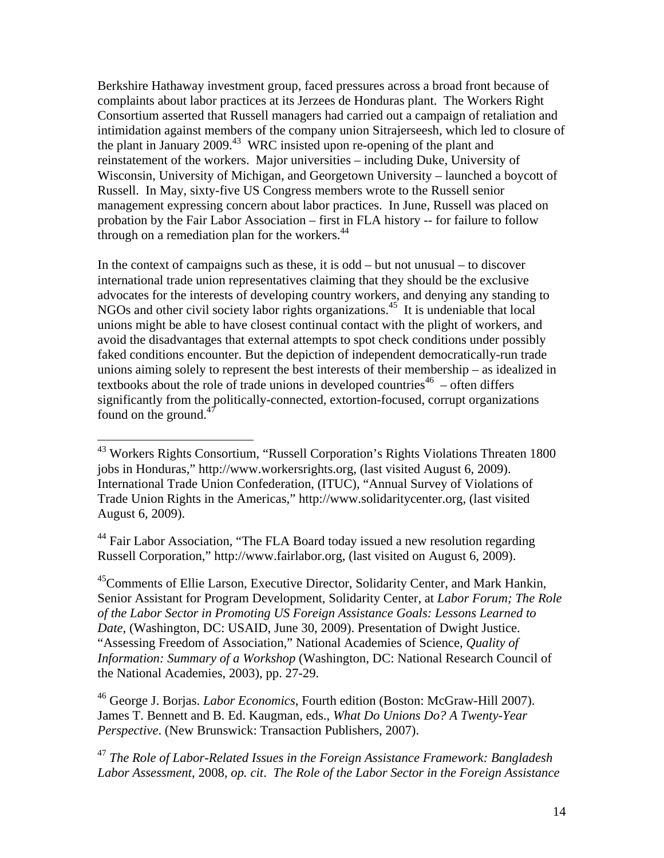Berkshire Hathaway investment group, faced pressures across a broad front because of complaints about labor practices at its Jerzees de Honduras plant. The Workers Right Consortium asserted that Russell managers had carried out a campaign of retaliation and intimidation against members of the company union Sitrajerseesh, which led to closure of the plant in January 2009.<sup>43</sup> WRC insisted upon re-opening of the plant and reinstatement of the workers. Major universities – including Duke, University of Wisconsin, University of Michigan, and Georgetown University – launched a boycott of Russell. In May, sixty-five US Congress members wrote to the Russell senior management expressing concern about labor practices. In June, Russell was placed on probation by the Fair Labor Association – first in FLA history -- for failure to follow through on a remediation plan for the workers. $44$ 

In the context of campaigns such as these, it is odd – but not unusual – to discover international trade union representatives claiming that they should be the exclusive advocates for the interests of developing country workers, and denying any standing to NGOs and other civil society labor rights organizations.<sup>45</sup> It is undeniable that local unions might be able to have closest continual contact with the plight of workers, and avoid the disadvantages that external attempts to spot check conditions under possibly faked conditions encounter. But the depiction of independent democratically-run trade unions aiming solely to represent the best interests of their membership – as idealized in textbooks about the role of trade unions in developed countries<sup>46</sup> – often differs significantly from the politically-connected, extortion-focused, corrupt organizations found on the ground. $47$ 

 $\overline{a}$ 

<sup>44</sup> Fair Labor Association, "The FLA Board today issued a new resolution regarding Russell Corporation," http://www.fairlabor.org, (last visited on August 6, 2009).

45Comments of Ellie Larson, Executive Director, Solidarity Center, and Mark Hankin, Senior Assistant for Program Development, Solidarity Center, at *Labor Forum; The Role of the Labor Sector in Promoting US Foreign Assistance Goals: Lessons Learned to Date*, (Washington, DC: USAID, June 30, 2009). Presentation of Dwight Justice. "Assessing Freedom of Association," National Academies of Science, *Quality of Information: Summary of a Workshop* (Washington, DC: National Research Council of the National Academies, 2003), pp. 27-29.

46 George J. Borjas. *Labor Economics*, Fourth edition (Boston: McGraw-Hill 2007). James T. Bennett and B. Ed. Kaugman, eds., *What Do Unions Do? A Twenty-Year Perspective*. (New Brunswick: Transaction Publishers, 2007).

<sup>47</sup> *The Role of Labor-Related Issues in the Foreign Assistance Framework: Bangladesh Labor Assessment*, 2008, *op. cit*. *The Role of the Labor Sector in the Foreign Assistance* 

 $43$  Workers Rights Consortium, "Russell Corporation's Rights Violations Threaten 1800 jobs in Honduras," http://www.workersrights.org, (last visited August 6, 2009). International Trade Union Confederation, (ITUC), "Annual Survey of Violations of Trade Union Rights in the Americas," http://www.solidaritycenter.org, (last visited August 6, 2009).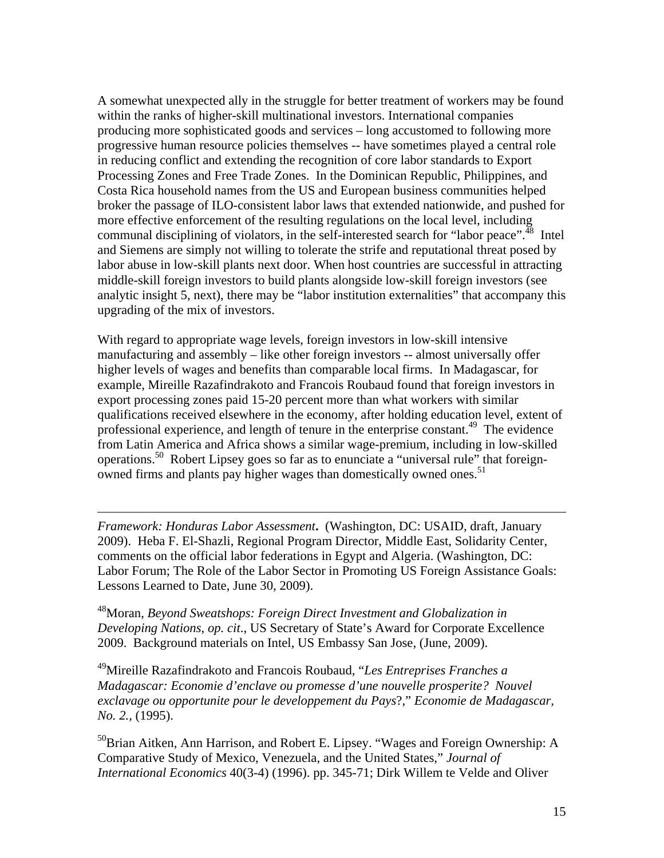A somewhat unexpected ally in the struggle for better treatment of workers may be found within the ranks of higher-skill multinational investors. International companies producing more sophisticated goods and services – long accustomed to following more progressive human resource policies themselves -- have sometimes played a central role in reducing conflict and extending the recognition of core labor standards to Export Processing Zones and Free Trade Zones. In the Dominican Republic, Philippines, and Costa Rica household names from the US and European business communities helped broker the passage of ILO-consistent labor laws that extended nationwide, and pushed for more effective enforcement of the resulting regulations on the local level, including communal disciplining of violators, in the self-interested search for "labor peace".<sup>48</sup> Intel and Siemens are simply not willing to tolerate the strife and reputational threat posed by labor abuse in low-skill plants next door. When host countries are successful in attracting middle-skill foreign investors to build plants alongside low-skill foreign investors (see analytic insight 5, next), there may be "labor institution externalities" that accompany this upgrading of the mix of investors.

With regard to appropriate wage levels, foreign investors in low-skill intensive manufacturing and assembly – like other foreign investors -- almost universally offer higher levels of wages and benefits than comparable local firms. In Madagascar, for example, Mireille Razafindrakoto and Francois Roubaud found that foreign investors in export processing zones paid 15-20 percent more than what workers with similar qualifications received elsewhere in the economy, after holding education level, extent of professional experience, and length of tenure in the enterprise constant.<sup>49</sup> The evidence from Latin America and Africa shows a similar wage-premium, including in low-skilled operations.50 Robert Lipsey goes so far as to enunciate a "universal rule" that foreignowned firms and plants pay higher wages than domestically owned ones.<sup>51</sup>

*Framework: Honduras Labor Assessment***.** (Washington, DC: USAID, draft, January 2009). Heba F. El-Shazli, Regional Program Director, Middle East, Solidarity Center, comments on the official labor federations in Egypt and Algeria. (Washington, DC: Labor Forum; The Role of the Labor Sector in Promoting US Foreign Assistance Goals: Lessons Learned to Date, June 30, 2009).

 $\overline{a}$ 

48Moran, *Beyond Sweatshops: Foreign Direct Investment and Globalization in Developing Nations*, *op. cit*., US Secretary of State's Award for Corporate Excellence 2009. Background materials on Intel, US Embassy San Jose, (June, 2009).

49Mireille Razafindrakoto and Francois Roubaud, "*Les Entreprises Franches a Madagascar: Economie d'enclave ou promesse d'une nouvelle prosperite? Nouvel exclavage ou opportunite pour le developpement du Pays*?," *Economie de Madagascar, No. 2.,* (1995).

 $^{50}$ Brian Aitken, Ann Harrison, and Robert E. Lipsey. "Wages and Foreign Ownership: A Comparative Study of Mexico, Venezuela, and the United States," *Journal of International Economics* 40(3-4) (1996). pp. 345-71; Dirk Willem te Velde and Oliver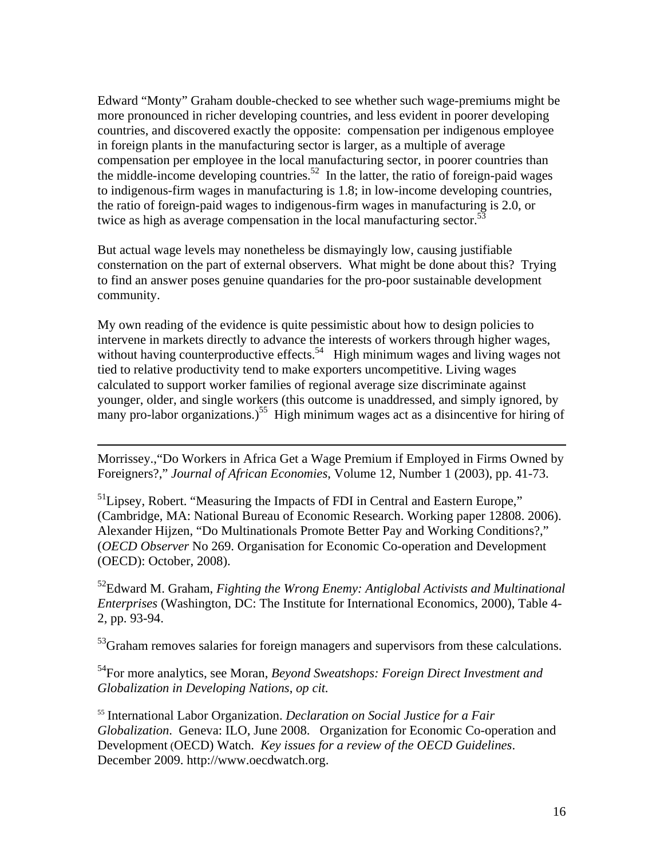Edward "Monty" Graham double-checked to see whether such wage-premiums might be more pronounced in richer developing countries, and less evident in poorer developing countries, and discovered exactly the opposite: compensation per indigenous employee in foreign plants in the manufacturing sector is larger, as a multiple of average compensation per employee in the local manufacturing sector, in poorer countries than the middle-income developing countries.<sup>52</sup> In the latter, the ratio of foreign-paid wages to indigenous-firm wages in manufacturing is 1.8; in low-income developing countries, the ratio of foreign-paid wages to indigenous-firm wages in manufacturing is 2.0, or twice as high as average compensation in the local manufacturing sector.<sup>53</sup>

But actual wage levels may nonetheless be dismayingly low, causing justifiable consternation on the part of external observers. What might be done about this? Trying to find an answer poses genuine quandaries for the pro-poor sustainable development community.

My own reading of the evidence is quite pessimistic about how to design policies to intervene in markets directly to advance the interests of workers through higher wages, without having counterproductive effects.<sup>54</sup> High minimum wages and living wages not tied to relative productivity tend to make exporters uncompetitive. Living wages calculated to support worker families of regional average size discriminate against younger, older, and single workers (this outcome is unaddressed, and simply ignored, by many pro-labor organizations.)<sup>55</sup> High minimum wages act as a disincentive for hiring of

Morrissey.,"Do Workers in Africa Get a Wage Premium if Employed in Firms Owned by Foreigners?," *Journal of African Economies*, Volume 12, Number 1 (2003), pp. 41-73.

 $\overline{a}$ 

<sup>51</sup>Lipsey, Robert. "Measuring the Impacts of FDI in Central and Eastern Europe," (Cambridge, MA: National Bureau of Economic Research. Working paper 12808. 2006). Alexander Hijzen, "Do Multinationals Promote Better Pay and Working Conditions?," (*OECD Observer* No 269. Organisation for Economic Co-operation and Development (OECD): October, 2008).

52Edward M. Graham, *Fighting the Wrong Enemy: Antiglobal Activists and Multinational Enterprises* (Washington, DC: The Institute for International Economics, 2000), Table 4- 2, pp. 93-94.

 $53$ Graham removes salaries for foreign managers and supervisors from these calculations.

54For more analytics, see Moran, *Beyond Sweatshops: Foreign Direct Investment and Globalization in Developing Nations*, *op cit.*

<sup>55</sup> International Labor Organization. *Declaration on Social Justice for a Fair Globalization*. Geneva: ILO, June 2008. Organization for Economic Co-operation and Development (OECD) Watch. *Key issues for a review of the OECD Guidelines*. December 2009. http://www.oecdwatch.org.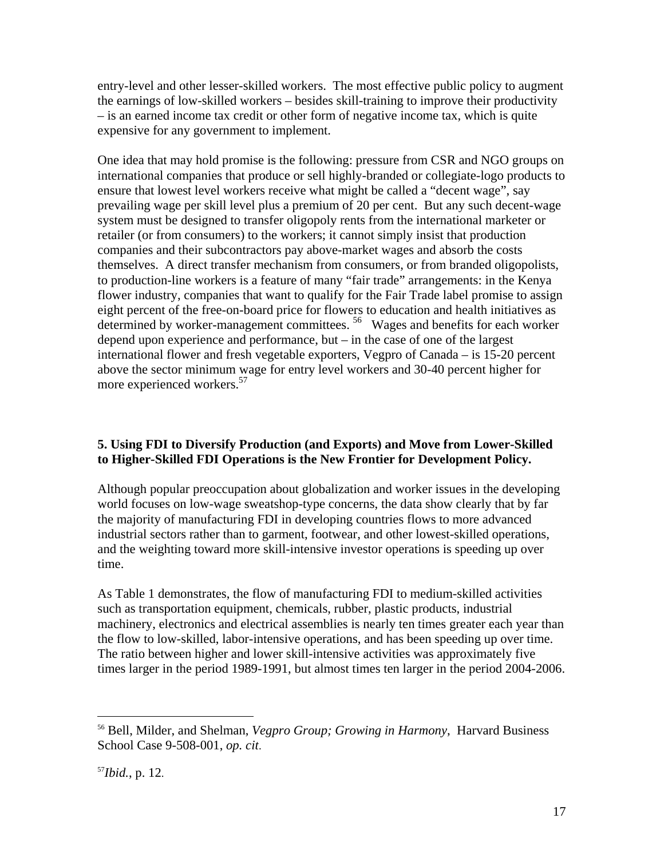entry-level and other lesser-skilled workers. The most effective public policy to augment the earnings of low-skilled workers – besides skill-training to improve their productivity – is an earned income tax credit or other form of negative income tax, which is quite expensive for any government to implement.

One idea that may hold promise is the following: pressure from CSR and NGO groups on international companies that produce or sell highly-branded or collegiate-logo products to ensure that lowest level workers receive what might be called a "decent wage", say prevailing wage per skill level plus a premium of 20 per cent. But any such decent-wage system must be designed to transfer oligopoly rents from the international marketer or retailer (or from consumers) to the workers; it cannot simply insist that production companies and their subcontractors pay above-market wages and absorb the costs themselves. A direct transfer mechanism from consumers, or from branded oligopolists, to production-line workers is a feature of many "fair trade" arrangements: in the Kenya flower industry, companies that want to qualify for the Fair Trade label promise to assign eight percent of the free-on-board price for flowers to education and health initiatives as determined by worker-management committees. 56 Wages and benefits for each worker depend upon experience and performance, but – in the case of one of the largest international flower and fresh vegetable exporters, Vegpro of Canada – is 15-20 percent above the sector minimum wage for entry level workers and 30-40 percent higher for more experienced workers.<sup>57</sup>

### **5. Using FDI to Diversify Production (and Exports) and Move from Lower-Skilled to Higher-Skilled FDI Operations is the New Frontier for Development Policy.**

Although popular preoccupation about globalization and worker issues in the developing world focuses on low-wage sweatshop-type concerns, the data show clearly that by far the majority of manufacturing FDI in developing countries flows to more advanced industrial sectors rather than to garment, footwear, and other lowest-skilled operations, and the weighting toward more skill-intensive investor operations is speeding up over time.

As Table 1 demonstrates, the flow of manufacturing FDI to medium-skilled activities such as transportation equipment, chemicals, rubber, plastic products, industrial machinery, electronics and electrical assemblies is nearly ten times greater each year than the flow to low-skilled, labor-intensive operations, and has been speeding up over time. The ratio between higher and lower skill-intensive activities was approximately five times larger in the period 1989-1991, but almost times ten larger in the period 2004-2006.

<sup>56</sup> Bell, Milder, and Shelman, *Vegpro Group; Growing in Harmony*, Harvard Business School Case 9-508-001, *op. cit*.

<sup>57</sup>*Ibid.*, p. 12.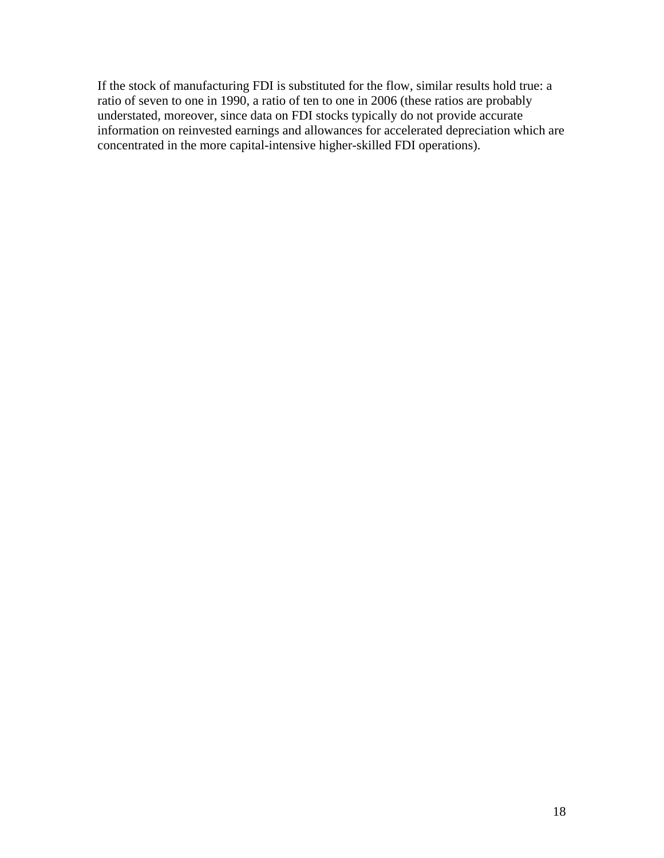If the stock of manufacturing FDI is substituted for the flow, similar results hold true: a ratio of seven to one in 1990, a ratio of ten to one in 2006 (these ratios are probably understated, moreover, since data on FDI stocks typically do not provide accurate information on reinvested earnings and allowances for accelerated depreciation which are concentrated in the more capital-intensive higher-skilled FDI operations).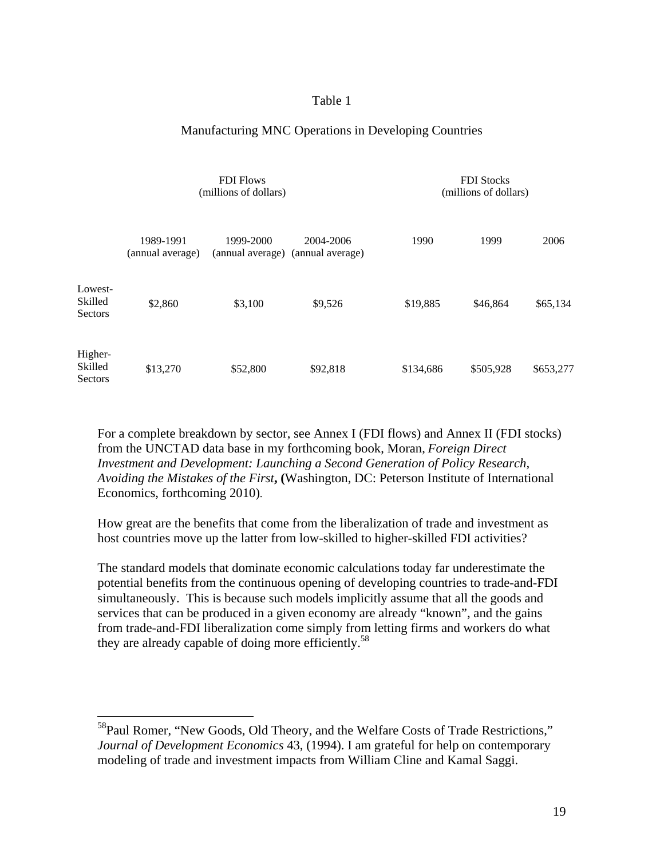#### Table 1

#### Manufacturing MNC Operations in Developing Countries

|                                      | <b>FDI</b> Flows<br>(millions of dollars) |                               |                               | <b>FDI</b> Stocks<br>(millions of dollars) |           |           |
|--------------------------------------|-------------------------------------------|-------------------------------|-------------------------------|--------------------------------------------|-----------|-----------|
|                                      | 1989-1991<br>(annual average)             | 1999-2000<br>(annual average) | 2004-2006<br>(annual average) | 1990                                       | 1999      | 2006      |
| Lowest-<br>Skilled<br><b>Sectors</b> | \$2,860                                   | \$3,100                       | \$9,526                       | \$19,885                                   | \$46,864  | \$65,134  |
| Higher-<br>Skilled<br>Sectors        | \$13,270                                  | \$52,800                      | \$92,818                      | \$134,686                                  | \$505,928 | \$653,277 |

For a complete breakdown by sector, see Annex I (FDI flows) and Annex II (FDI stocks) from the UNCTAD data base in my forthcoming book, Moran, *Foreign Direct Investment and Development: Launching a Second Generation of Policy Research, Avoiding the Mistakes of the First***, (**Washington, DC: Peterson Institute of International Economics, forthcoming 2010).

How great are the benefits that come from the liberalization of trade and investment as host countries move up the latter from low-skilled to higher-skilled FDI activities?

The standard models that dominate economic calculations today far underestimate the potential benefits from the continuous opening of developing countries to trade-and-FDI simultaneously. This is because such models implicitly assume that all the goods and services that can be produced in a given economy are already "known", and the gains from trade-and-FDI liberalization come simply from letting firms and workers do what they are already capable of doing more efficiently.<sup>58</sup>

<sup>&</sup>lt;sup>58</sup>Paul Romer, "New Goods, Old Theory, and the Welfare Costs of Trade Restrictions," *Journal of Development Economics* 43, (1994). I am grateful for help on contemporary modeling of trade and investment impacts from William Cline and Kamal Saggi.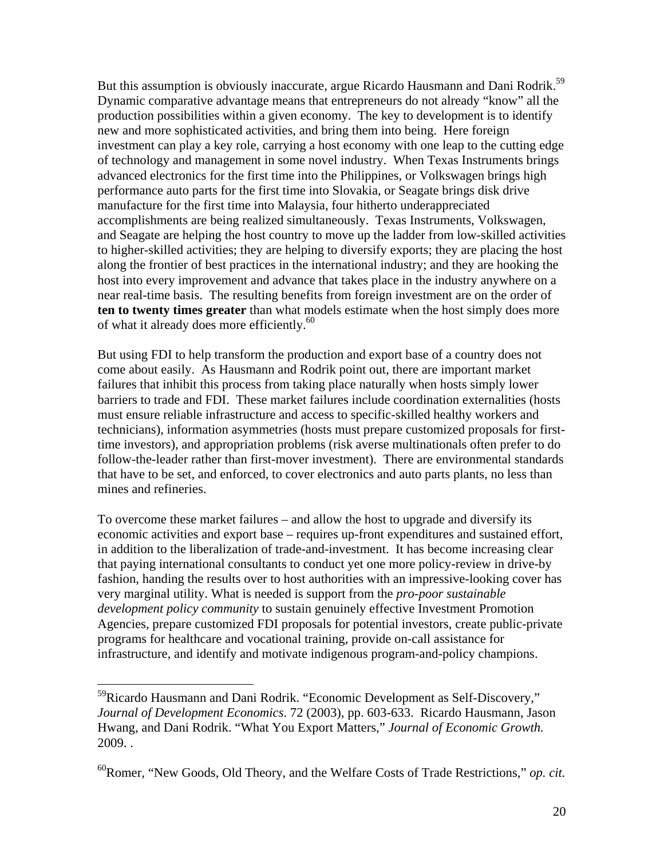But this assumption is obviously inaccurate, argue Ricardo Hausmann and Dani Rodrik.<sup>59</sup> Dynamic comparative advantage means that entrepreneurs do not already "know" all the production possibilities within a given economy. The key to development is to identify new and more sophisticated activities, and bring them into being. Here foreign investment can play a key role, carrying a host economy with one leap to the cutting edge of technology and management in some novel industry. When Texas Instruments brings advanced electronics for the first time into the Philippines, or Volkswagen brings high performance auto parts for the first time into Slovakia, or Seagate brings disk drive manufacture for the first time into Malaysia, four hitherto underappreciated accomplishments are being realized simultaneously. Texas Instruments, Volkswagen, and Seagate are helping the host country to move up the ladder from low-skilled activities to higher-skilled activities; they are helping to diversify exports; they are placing the host along the frontier of best practices in the international industry; and they are hooking the host into every improvement and advance that takes place in the industry anywhere on a near real-time basis. The resulting benefits from foreign investment are on the order of **ten to twenty times greater** than what models estimate when the host simply does more of what it already does more efficiently.<sup>60</sup>

But using FDI to help transform the production and export base of a country does not come about easily. As Hausmann and Rodrik point out, there are important market failures that inhibit this process from taking place naturally when hosts simply lower barriers to trade and FDI. These market failures include coordination externalities (hosts must ensure reliable infrastructure and access to specific-skilled healthy workers and technicians), information asymmetries (hosts must prepare customized proposals for firsttime investors), and appropriation problems (risk averse multinationals often prefer to do follow-the-leader rather than first-mover investment). There are environmental standards that have to be set, and enforced, to cover electronics and auto parts plants, no less than mines and refineries.

To overcome these market failures – and allow the host to upgrade and diversify its economic activities and export base – requires up-front expenditures and sustained effort, in addition to the liberalization of trade-and-investment. It has become increasing clear that paying international consultants to conduct yet one more policy-review in drive-by fashion, handing the results over to host authorities with an impressive-looking cover has very marginal utility. What is needed is support from the *pro-poor sustainable development policy community* to sustain genuinely effective Investment Promotion Agencies, prepare customized FDI proposals for potential investors, create public-private programs for healthcare and vocational training, provide on-call assistance for infrastructure, and identify and motivate indigenous program-and-policy champions.

<sup>&</sup>lt;sup>59</sup>Ricardo Hausmann and Dani Rodrik. "Economic Development as Self-Discovery," *Journal of Development Economics*. 72 (2003), pp. 603-633. Ricardo Hausmann, Jason Hwang, and Dani Rodrik. "What You Export Matters," *Journal of Economic Growth.* 2009. .

<sup>60</sup>Romer, "New Goods, Old Theory, and the Welfare Costs of Trade Restrictions," *op. cit.*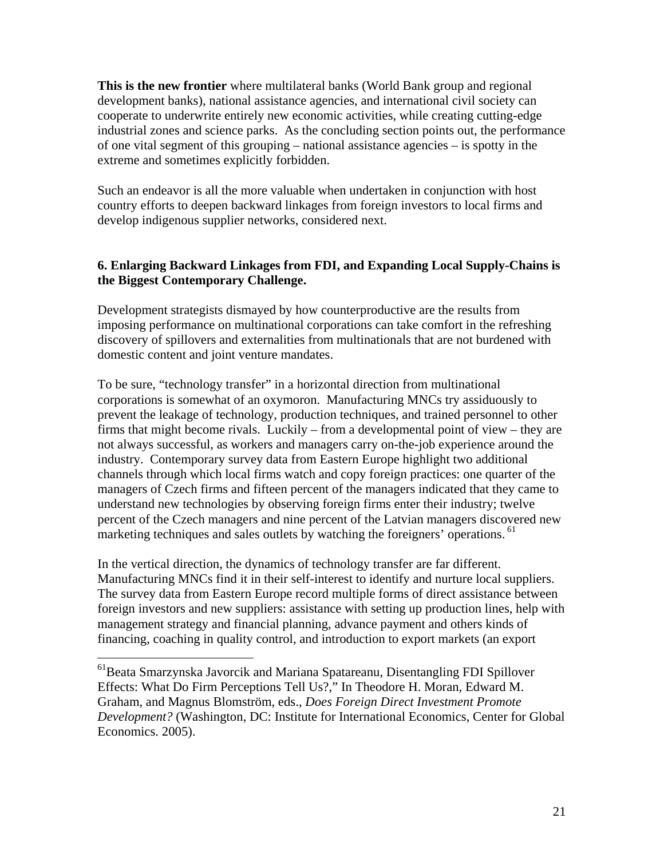**This is the new frontier** where multilateral banks (World Bank group and regional development banks), national assistance agencies, and international civil society can cooperate to underwrite entirely new economic activities, while creating cutting-edge industrial zones and science parks. As the concluding section points out, the performance of one vital segment of this grouping – national assistance agencies – is spotty in the extreme and sometimes explicitly forbidden.

Such an endeavor is all the more valuable when undertaken in conjunction with host country efforts to deepen backward linkages from foreign investors to local firms and develop indigenous supplier networks, considered next.

### **6. Enlarging Backward Linkages from FDI, and Expanding Local Supply-Chains is the Biggest Contemporary Challenge.**

Development strategists dismayed by how counterproductive are the results from imposing performance on multinational corporations can take comfort in the refreshing discovery of spillovers and externalities from multinationals that are not burdened with domestic content and joint venture mandates.

To be sure, "technology transfer" in a horizontal direction from multinational corporations is somewhat of an oxymoron. Manufacturing MNCs try assiduously to prevent the leakage of technology, production techniques, and trained personnel to other firms that might become rivals. Luckily – from a developmental point of view – they are not always successful, as workers and managers carry on-the-job experience around the industry. Contemporary survey data from Eastern Europe highlight two additional channels through which local firms watch and copy foreign practices: one quarter of the managers of Czech firms and fifteen percent of the managers indicated that they came to understand new technologies by observing foreign firms enter their industry; twelve percent of the Czech managers and nine percent of the Latvian managers discovered new marketing techniques and sales outlets by watching the foreigners' operations. <sup>61</sup>

In the vertical direction, the dynamics of technology transfer are far different. Manufacturing MNCs find it in their self-interest to identify and nurture local suppliers. The survey data from Eastern Europe record multiple forms of direct assistance between foreign investors and new suppliers: assistance with setting up production lines, help with management strategy and financial planning, advance payment and others kinds of financing, coaching in quality control, and introduction to export markets (an export

<sup>&</sup>lt;sup>61</sup>Beata Smarzynska Javorcik and Mariana Spatareanu, Disentangling FDI Spillover Effects: What Do Firm Perceptions Tell Us?," In Theodore H. Moran, Edward M. Graham, and Magnus Blomström, eds., *Does Foreign Direct Investment Promote Development?* (Washington, DC: Institute for International Economics, Center for Global Economics. 2005).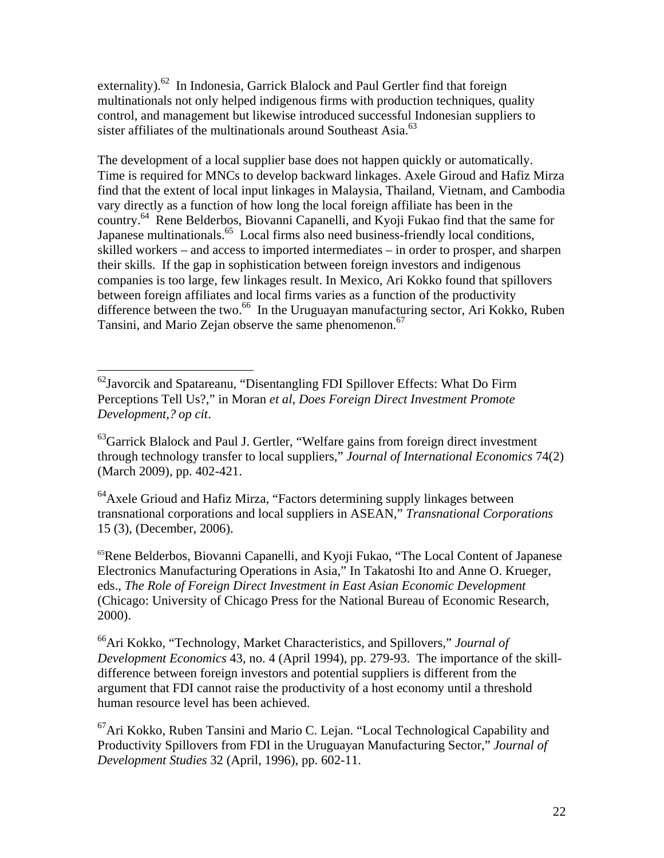externality).<sup>62</sup> In Indonesia, Garrick Blalock and Paul Gertler find that foreign multinationals not only helped indigenous firms with production techniques, quality control, and management but likewise introduced successful Indonesian suppliers to sister affiliates of the multinationals around Southeast Asia. $^{63}$ 

The development of a local supplier base does not happen quickly or automatically. Time is required for MNCs to develop backward linkages. Axele Giroud and Hafiz Mirza find that the extent of local input linkages in Malaysia, Thailand, Vietnam, and Cambodia vary directly as a function of how long the local foreign affiliate has been in the country.<sup>64</sup> Rene Belderbos, Biovanni Capanelli, and Kyoji Fukao find that the same for Japanese multinationals.<sup>65</sup> Local firms also need business-friendly local conditions, skilled workers – and access to imported intermediates – in order to prosper, and sharpen their skills. If the gap in sophistication between foreign investors and indigenous companies is too large, few linkages result. In Mexico, Ari Kokko found that spillovers between foreign affiliates and local firms varies as a function of the productivity difference between the two.<sup>66</sup> In the Uruguayan manufacturing sector, Ari Kokko, Ruben Tansini, and Mario Zejan observe the same phenomenon.<sup>67</sup>

 $\overline{a}$ 

 $64$ Axele Grioud and Hafiz Mirza, "Factors determining supply linkages between transnational corporations and local suppliers in ASEAN," *Transnational Corporations* 15 (3), (December, 2006).

65Rene Belderbos, Biovanni Capanelli, and Kyoji Fukao, "The Local Content of Japanese Electronics Manufacturing Operations in Asia," In Takatoshi Ito and Anne O. Krueger, eds., *The Role of Foreign Direct Investment in East Asian Economic Development* (Chicago: University of Chicago Press for the National Bureau of Economic Research, 2000).

66Ari Kokko, "Technology, Market Characteristics, and Spillovers," *Journal of Development Economics* 43, no. 4 (April 1994), pp. 279-93. The importance of the skilldifference between foreign investors and potential suppliers is different from the argument that FDI cannot raise the productivity of a host economy until a threshold human resource level has been achieved.

 $^{67}$ Ari Kokko, Ruben Tansini and Mario C. Lejan. "Local Technological Capability and Productivity Spillovers from FDI in the Uruguayan Manufacturing Sector," *Journal of Development Studies* 32 (April, 1996), pp. 602-11.

 $^{62}$ Javorcik and Spatareanu, "Disentangling FDI Spillover Effects: What Do Firm Perceptions Tell Us?," in Moran *et al*, *Does Foreign Direct Investment Promote Development,? op cit*.

<sup>&</sup>lt;sup>63</sup>Garrick Blalock and Paul J. Gertler, "Welfare gains from foreign direct investment through technology transfer to local suppliers," *Journal of International Economics* 74(2) (March 2009), pp. 402-421.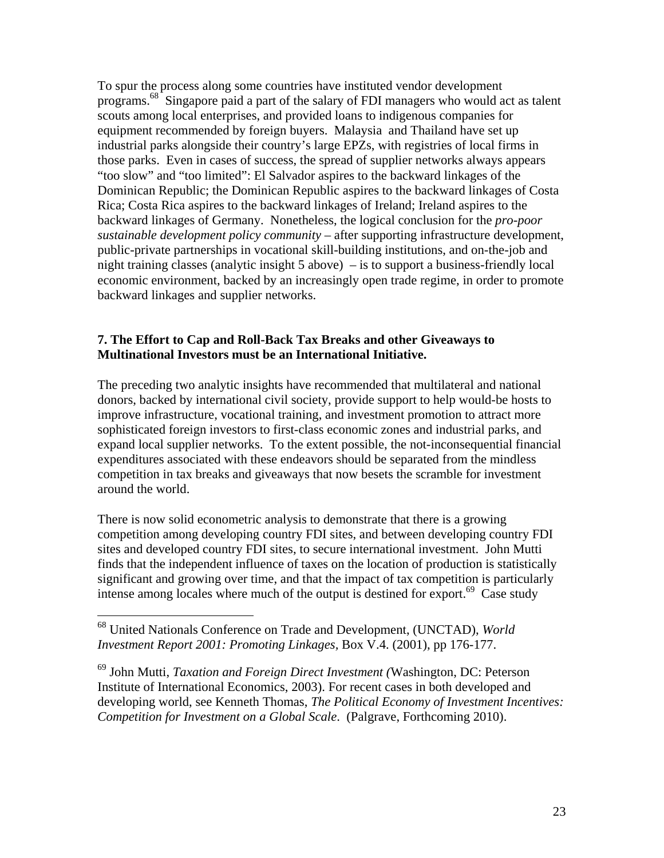To spur the process along some countries have instituted vendor development programs.68 Singapore paid a part of the salary of FDI managers who would act as talent scouts among local enterprises, and provided loans to indigenous companies for equipment recommended by foreign buyers. Malaysia and Thailand have set up industrial parks alongside their country's large EPZs, with registries of local firms in those parks. Even in cases of success, the spread of supplier networks always appears "too slow" and "too limited": El Salvador aspires to the backward linkages of the Dominican Republic; the Dominican Republic aspires to the backward linkages of Costa Rica; Costa Rica aspires to the backward linkages of Ireland; Ireland aspires to the backward linkages of Germany. Nonetheless, the logical conclusion for the *pro-poor sustainable development policy community* – after supporting infrastructure development, public-private partnerships in vocational skill-building institutions, and on-the-job and night training classes (analytic insight 5 above) – is to support a business-friendly local economic environment, backed by an increasingly open trade regime, in order to promote backward linkages and supplier networks.

#### **7. The Effort to Cap and Roll-Back Tax Breaks and other Giveaways to Multinational Investors must be an International Initiative.**

The preceding two analytic insights have recommended that multilateral and national donors, backed by international civil society, provide support to help would-be hosts to improve infrastructure, vocational training, and investment promotion to attract more sophisticated foreign investors to first-class economic zones and industrial parks, and expand local supplier networks. To the extent possible, the not-inconsequential financial expenditures associated with these endeavors should be separated from the mindless competition in tax breaks and giveaways that now besets the scramble for investment around the world.

There is now solid econometric analysis to demonstrate that there is a growing competition among developing country FDI sites, and between developing country FDI sites and developed country FDI sites, to secure international investment. John Mutti finds that the independent influence of taxes on the location of production is statistically significant and growing over time, and that the impact of tax competition is particularly intense among locales where much of the output is destined for export.<sup>69</sup> Case study

<sup>68</sup> United Nationals Conference on Trade and Development, (UNCTAD), *World Investment Report 2001: Promoting Linkages,* Box V.4. (2001), pp 176-177.

<sup>69</sup> John Mutti, *Taxation and Foreign Direct Investment (*Washington, DC: Peterson Institute of International Economics, 2003). For recent cases in both developed and developing world, see Kenneth Thomas, *The Political Economy of Investment Incentives: Competition for Investment on a Global Scale*. (Palgrave, Forthcoming 2010).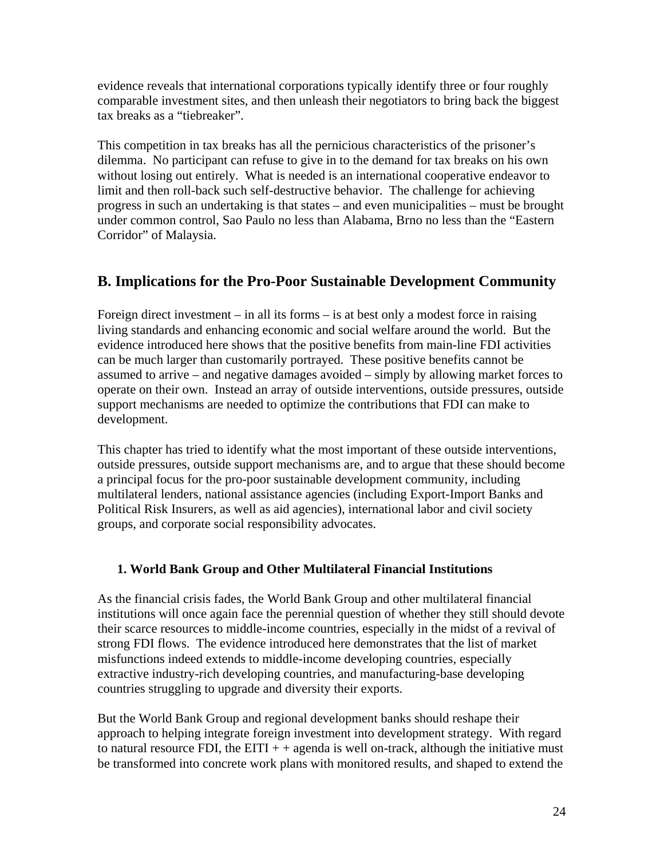evidence reveals that international corporations typically identify three or four roughly comparable investment sites, and then unleash their negotiators to bring back the biggest tax breaks as a "tiebreaker".

This competition in tax breaks has all the pernicious characteristics of the prisoner's dilemma. No participant can refuse to give in to the demand for tax breaks on his own without losing out entirely. What is needed is an international cooperative endeavor to limit and then roll-back such self-destructive behavior. The challenge for achieving progress in such an undertaking is that states – and even municipalities – must be brought under common control, Sao Paulo no less than Alabama, Brno no less than the "Eastern Corridor" of Malaysia.

# **B. Implications for the Pro-Poor Sustainable Development Community**

Foreign direct investment – in all its forms – is at best only a modest force in raising living standards and enhancing economic and social welfare around the world. But the evidence introduced here shows that the positive benefits from main-line FDI activities can be much larger than customarily portrayed. These positive benefits cannot be assumed to arrive – and negative damages avoided – simply by allowing market forces to operate on their own. Instead an array of outside interventions, outside pressures, outside support mechanisms are needed to optimize the contributions that FDI can make to development.

This chapter has tried to identify what the most important of these outside interventions, outside pressures, outside support mechanisms are, and to argue that these should become a principal focus for the pro-poor sustainable development community, including multilateral lenders, national assistance agencies (including Export-Import Banks and Political Risk Insurers, as well as aid agencies), international labor and civil society groups, and corporate social responsibility advocates.

# **1. World Bank Group and Other Multilateral Financial Institutions**

As the financial crisis fades, the World Bank Group and other multilateral financial institutions will once again face the perennial question of whether they still should devote their scarce resources to middle-income countries, especially in the midst of a revival of strong FDI flows. The evidence introduced here demonstrates that the list of market misfunctions indeed extends to middle-income developing countries, especially extractive industry-rich developing countries, and manufacturing-base developing countries struggling to upgrade and diversity their exports.

But the World Bank Group and regional development banks should reshape their approach to helping integrate foreign investment into development strategy. With regard to natural resource FDI, the EITI  $+$  + agenda is well on-track, although the initiative must be transformed into concrete work plans with monitored results, and shaped to extend the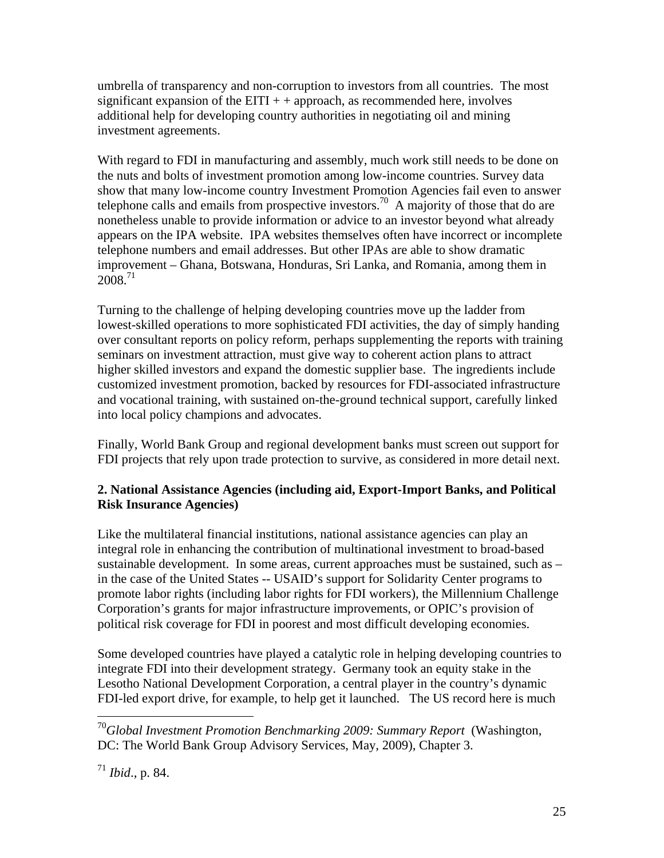umbrella of transparency and non-corruption to investors from all countries. The most significant expansion of the EITI  $++$  approach, as recommended here, involves additional help for developing country authorities in negotiating oil and mining investment agreements.

With regard to FDI in manufacturing and assembly, much work still needs to be done on the nuts and bolts of investment promotion among low-income countries. Survey data show that many low-income country Investment Promotion Agencies fail even to answer telephone calls and emails from prospective investors.<sup>70</sup> A majority of those that do are nonetheless unable to provide information or advice to an investor beyond what already appears on the IPA website. IPA websites themselves often have incorrect or incomplete telephone numbers and email addresses. But other IPAs are able to show dramatic improvement – Ghana, Botswana, Honduras, Sri Lanka, and Romania, among them in  $2008.<sup>71</sup>$ 

Turning to the challenge of helping developing countries move up the ladder from lowest-skilled operations to more sophisticated FDI activities, the day of simply handing over consultant reports on policy reform, perhaps supplementing the reports with training seminars on investment attraction, must give way to coherent action plans to attract higher skilled investors and expand the domestic supplier base. The ingredients include customized investment promotion, backed by resources for FDI-associated infrastructure and vocational training, with sustained on-the-ground technical support, carefully linked into local policy champions and advocates.

Finally, World Bank Group and regional development banks must screen out support for FDI projects that rely upon trade protection to survive, as considered in more detail next.

### **2. National Assistance Agencies (including aid, Export-Import Banks, and Political Risk Insurance Agencies)**

Like the multilateral financial institutions, national assistance agencies can play an integral role in enhancing the contribution of multinational investment to broad-based sustainable development. In some areas, current approaches must be sustained, such as – in the case of the United States -- USAID's support for Solidarity Center programs to promote labor rights (including labor rights for FDI workers), the Millennium Challenge Corporation's grants for major infrastructure improvements, or OPIC's provision of political risk coverage for FDI in poorest and most difficult developing economies.

Some developed countries have played a catalytic role in helping developing countries to integrate FDI into their development strategy. Germany took an equity stake in the Lesotho National Development Corporation, a central player in the country's dynamic FDI-led export drive, for example, to help get it launched. The US record here is much

<sup>70</sup>*Global Investment Promotion Benchmarking 2009: Summary Report* (Washington, DC: The World Bank Group Advisory Services, May, 2009), Chapter 3.

<sup>71</sup> *Ibid*., p. 84.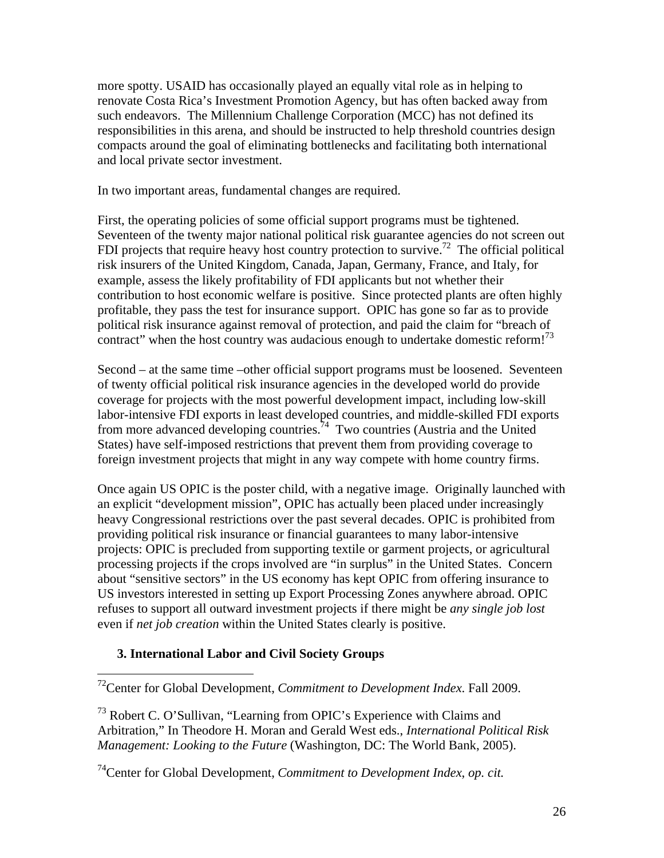more spotty. USAID has occasionally played an equally vital role as in helping to renovate Costa Rica's Investment Promotion Agency, but has often backed away from such endeavors. The Millennium Challenge Corporation (MCC) has not defined its responsibilities in this arena, and should be instructed to help threshold countries design compacts around the goal of eliminating bottlenecks and facilitating both international and local private sector investment.

In two important areas, fundamental changes are required.

First, the operating policies of some official support programs must be tightened. Seventeen of the twenty major national political risk guarantee agencies do not screen out FDI projects that require heavy host country protection to survive.<sup>72</sup> The official political risk insurers of the United Kingdom, Canada, Japan, Germany, France, and Italy, for example, assess the likely profitability of FDI applicants but not whether their contribution to host economic welfare is positive. Since protected plants are often highly profitable, they pass the test for insurance support. OPIC has gone so far as to provide political risk insurance against removal of protection, and paid the claim for "breach of contract" when the host country was audacious enough to undertake domestic reform!<sup>73</sup>

Second – at the same time –other official support programs must be loosened. Seventeen of twenty official political risk insurance agencies in the developed world do provide coverage for projects with the most powerful development impact, including low-skill labor-intensive FDI exports in least developed countries, and middle-skilled FDI exports from more advanced developing countries.<sup>74</sup> Two countries (Austria and the United States) have self-imposed restrictions that prevent them from providing coverage to foreign investment projects that might in any way compete with home country firms.

Once again US OPIC is the poster child, with a negative image. Originally launched with an explicit "development mission", OPIC has actually been placed under increasingly heavy Congressional restrictions over the past several decades. OPIC is prohibited from providing political risk insurance or financial guarantees to many labor-intensive projects: OPIC is precluded from supporting textile or garment projects, or agricultural processing projects if the crops involved are "in surplus" in the United States. Concern about "sensitive sectors" in the US economy has kept OPIC from offering insurance to US investors interested in setting up Export Processing Zones anywhere abroad. OPIC refuses to support all outward investment projects if there might be *any single job lost* even if *net job creation* within the United States clearly is positive.

### **3. International Labor and Civil Society Groups**

 $\overline{a}$ 

72Center for Global Development, *Commitment to Development Index*. Fall 2009.

73 Robert C. O'Sullivan, "Learning from OPIC's Experience with Claims and Arbitration," In Theodore H. Moran and Gerald West eds., *International Political Risk Management: Looking to the Future* (Washington, DC: The World Bank, 2005).

74Center for Global Development, *Commitment to Development Index*, *op. cit.*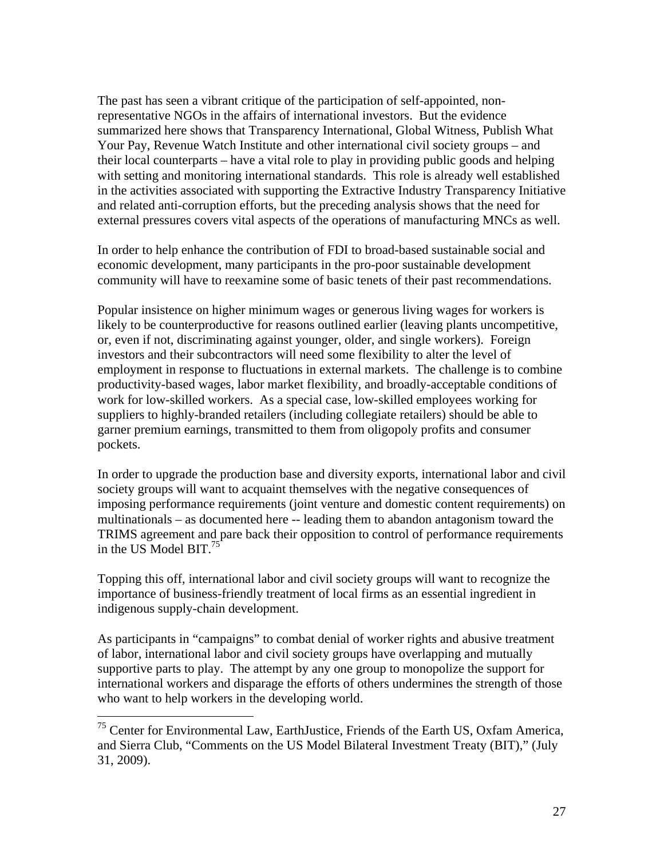The past has seen a vibrant critique of the participation of self-appointed, nonrepresentative NGOs in the affairs of international investors. But the evidence summarized here shows that Transparency International, Global Witness, Publish What Your Pay, Revenue Watch Institute and other international civil society groups – and their local counterparts – have a vital role to play in providing public goods and helping with setting and monitoring international standards. This role is already well established in the activities associated with supporting the Extractive Industry Transparency Initiative and related anti-corruption efforts, but the preceding analysis shows that the need for external pressures covers vital aspects of the operations of manufacturing MNCs as well.

In order to help enhance the contribution of FDI to broad-based sustainable social and economic development, many participants in the pro-poor sustainable development community will have to reexamine some of basic tenets of their past recommendations.

Popular insistence on higher minimum wages or generous living wages for workers is likely to be counterproductive for reasons outlined earlier (leaving plants uncompetitive, or, even if not, discriminating against younger, older, and single workers). Foreign investors and their subcontractors will need some flexibility to alter the level of employment in response to fluctuations in external markets. The challenge is to combine productivity-based wages, labor market flexibility, and broadly-acceptable conditions of work for low-skilled workers. As a special case, low-skilled employees working for suppliers to highly-branded retailers (including collegiate retailers) should be able to garner premium earnings, transmitted to them from oligopoly profits and consumer pockets.

In order to upgrade the production base and diversity exports, international labor and civil society groups will want to acquaint themselves with the negative consequences of imposing performance requirements (joint venture and domestic content requirements) on multinationals – as documented here -- leading them to abandon antagonism toward the TRIMS agreement and pare back their opposition to control of performance requirements in the US Model BIT.<sup>75</sup>

Topping this off, international labor and civil society groups will want to recognize the importance of business-friendly treatment of local firms as an essential ingredient in indigenous supply-chain development.

As participants in "campaigns" to combat denial of worker rights and abusive treatment of labor, international labor and civil society groups have overlapping and mutually supportive parts to play. The attempt by any one group to monopolize the support for international workers and disparage the efforts of others undermines the strength of those who want to help workers in the developing world.

1

 $75$  Center for Environmental Law, EarthJustice, Friends of the Earth US, Oxfam America, and Sierra Club, "Comments on the US Model Bilateral Investment Treaty (BIT)," (July 31, 2009).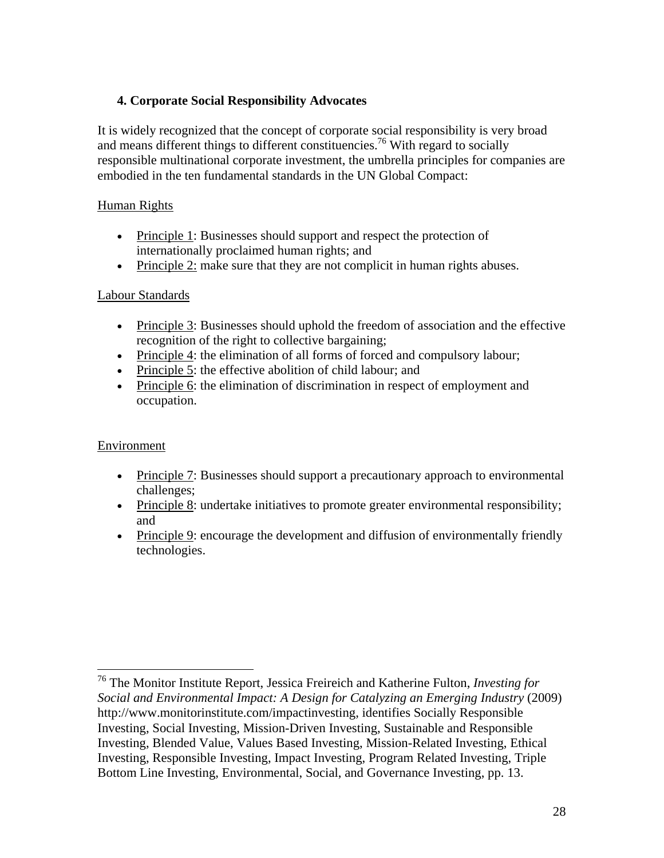### **4. Corporate Social Responsibility Advocates**

It is widely recognized that the concept of corporate social responsibility is very broad and means different things to different constituencies.<sup>76</sup> With regard to socially responsible multinational corporate investment, the umbrella principles for companies are embodied in the ten fundamental standards in the UN Global Compact:

### Human Rights

- Principle 1: Businesses should support and respect the protection of internationally proclaimed human rights; and
- Principle 2: make sure that they are not complicit in human rights abuses.

### Labour Standards

- Principle 3: Businesses should uphold the freedom of association and the effective recognition of the right to collective bargaining;
- Principle 4: the elimination of all forms of forced and compulsory labour;
- Principle 5: the effective abolition of child labour; and
- Principle 6: the elimination of discrimination in respect of employment and occupation.

### Environment

- Principle 7: Businesses should support a precautionary approach to environmental challenges;
- Principle 8: undertake initiatives to promote greater environmental responsibility; and
- Principle 9: encourage the development and diffusion of environmentally friendly technologies.

<sup>76</sup> The Monitor Institute Report, Jessica Freireich and Katherine Fulton, *Investing for Social and Environmental Impact: A Design for Catalyzing an Emerging Industry (2009)* http://www.monitorinstitute.com/impactinvesting, identifies Socially Responsible Investing, Social Investing, Mission-Driven Investing, Sustainable and Responsible Investing, Blended Value, Values Based Investing, Mission-Related Investing, Ethical Investing, Responsible Investing, Impact Investing, Program Related Investing, Triple Bottom Line Investing, Environmental, Social, and Governance Investing, pp. 13.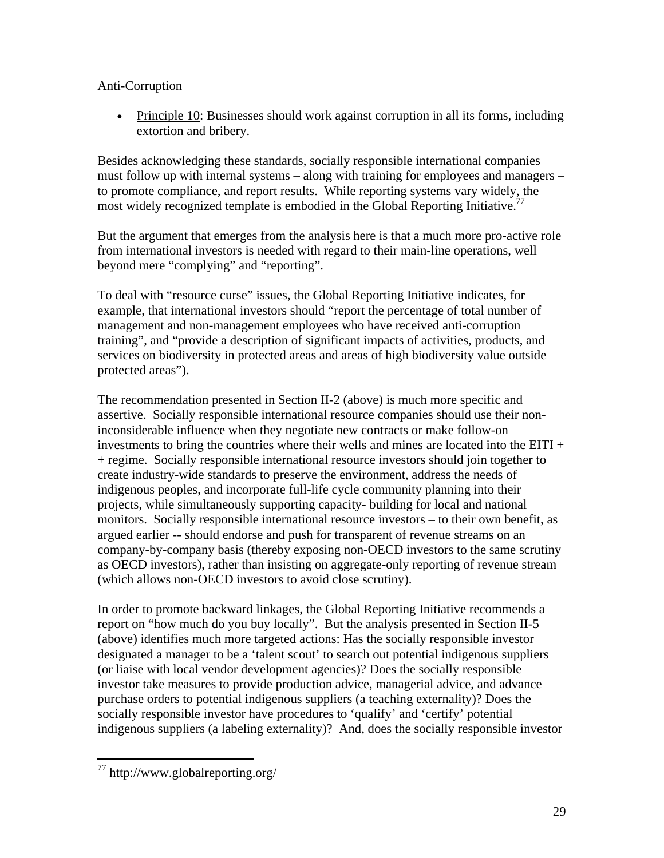### Anti-Corruption

• Principle 10: Businesses should work against corruption in all its forms, including extortion and bribery.

Besides acknowledging these standards, socially responsible international companies must follow up with internal systems – along with training for employees and managers – to promote compliance, and report results. While reporting systems vary widely, the most widely recognized template is embodied in the Global Reporting Initiative.<sup>77</sup>

But the argument that emerges from the analysis here is that a much more pro-active role from international investors is needed with regard to their main-line operations, well beyond mere "complying" and "reporting".

To deal with "resource curse" issues, the Global Reporting Initiative indicates, for example, that international investors should "report the percentage of total number of management and non-management employees who have received anti-corruption training", and "provide a description of significant impacts of activities, products, and services on biodiversity in protected areas and areas of high biodiversity value outside protected areas").

The recommendation presented in Section II-2 (above) is much more specific and assertive. Socially responsible international resource companies should use their noninconsiderable influence when they negotiate new contracts or make follow-on investments to bring the countries where their wells and mines are located into the EITI + + regime. Socially responsible international resource investors should join together to create industry-wide standards to preserve the environment, address the needs of indigenous peoples, and incorporate full-life cycle community planning into their projects, while simultaneously supporting capacity- building for local and national monitors. Socially responsible international resource investors – to their own benefit, as argued earlier -- should endorse and push for transparent of revenue streams on an company-by-company basis (thereby exposing non-OECD investors to the same scrutiny as OECD investors), rather than insisting on aggregate-only reporting of revenue stream (which allows non-OECD investors to avoid close scrutiny).

In order to promote backward linkages, the Global Reporting Initiative recommends a report on "how much do you buy locally". But the analysis presented in Section II-5 (above) identifies much more targeted actions: Has the socially responsible investor designated a manager to be a 'talent scout' to search out potential indigenous suppliers (or liaise with local vendor development agencies)? Does the socially responsible investor take measures to provide production advice, managerial advice, and advance purchase orders to potential indigenous suppliers (a teaching externality)? Does the socially responsible investor have procedures to 'qualify' and 'certify' potential indigenous suppliers (a labeling externality)? And, does the socially responsible investor

 $\overline{a}$  $77$  http://www.globalreporting.org/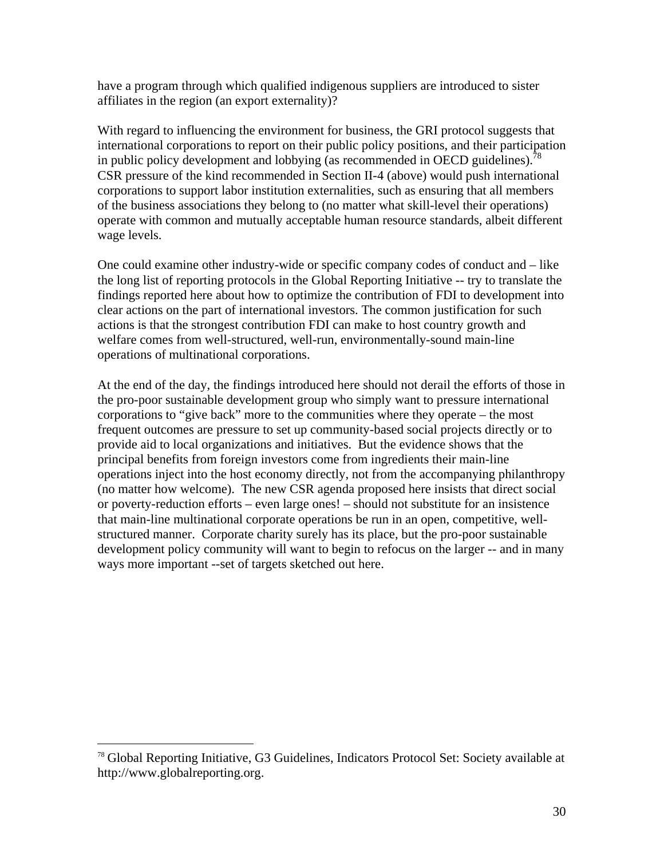have a program through which qualified indigenous suppliers are introduced to sister affiliates in the region (an export externality)?

With regard to influencing the environment for business, the GRI protocol suggests that international corporations to report on their public policy positions, and their participation in public policy development and lobbying (as recommended in OECD guidelines).<sup>78</sup> CSR pressure of the kind recommended in Section II-4 (above) would push international corporations to support labor institution externalities, such as ensuring that all members of the business associations they belong to (no matter what skill-level their operations) operate with common and mutually acceptable human resource standards, albeit different wage levels.

One could examine other industry-wide or specific company codes of conduct and – like the long list of reporting protocols in the Global Reporting Initiative -- try to translate the findings reported here about how to optimize the contribution of FDI to development into clear actions on the part of international investors. The common justification for such actions is that the strongest contribution FDI can make to host country growth and welfare comes from well-structured, well-run, environmentally-sound main-line operations of multinational corporations.

At the end of the day, the findings introduced here should not derail the efforts of those in the pro-poor sustainable development group who simply want to pressure international corporations to "give back" more to the communities where they operate – the most frequent outcomes are pressure to set up community-based social projects directly or to provide aid to local organizations and initiatives. But the evidence shows that the principal benefits from foreign investors come from ingredients their main-line operations inject into the host economy directly, not from the accompanying philanthropy (no matter how welcome). The new CSR agenda proposed here insists that direct social or poverty-reduction efforts – even large ones! – should not substitute for an insistence that main-line multinational corporate operations be run in an open, competitive, wellstructured manner. Corporate charity surely has its place, but the pro-poor sustainable development policy community will want to begin to refocus on the larger -- and in many ways more important --set of targets sketched out here.

1

<sup>78</sup> Global Reporting Initiative, G3 Guidelines, Indicators Protocol Set: Society available at http://www.globalreporting.org.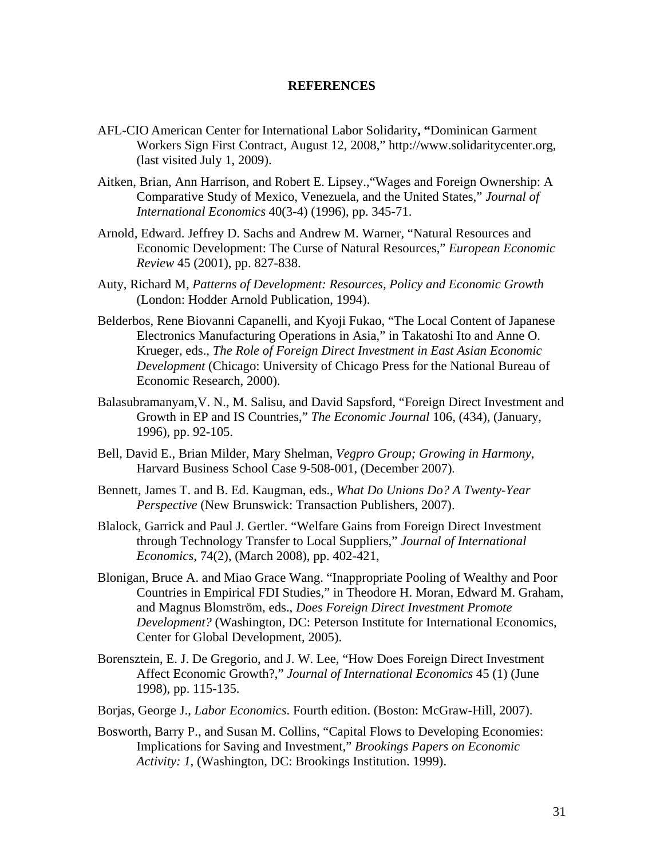#### **REFERENCES**

- AFL-CIO American Center for International Labor Solidarity**, "**Dominican Garment Workers Sign First Contract, August 12, 2008," http://www.solidaritycenter.org, (last visited July 1, 2009).
- Aitken, Brian, Ann Harrison, and Robert E. Lipsey.,"Wages and Foreign Ownership: A Comparative Study of Mexico, Venezuela, and the United States," *Journal of International Economics* 40(3-4) (1996), pp. 345-71.
- Arnold, Edward. Jeffrey D. Sachs and Andrew M. Warner, "Natural Resources and Economic Development: The Curse of Natural Resources," *European Economic Review* 45 (2001), pp. 827-838.
- Auty, Richard M, *Patterns of Development: Resources, Policy and Economic Growth* (London: Hodder Arnold Publication, 1994).
- Belderbos, Rene Biovanni Capanelli, and Kyoji Fukao, "The Local Content of Japanese Electronics Manufacturing Operations in Asia," in Takatoshi Ito and Anne O. Krueger, eds., *The Role of Foreign Direct Investment in East Asian Economic Development* (Chicago: University of Chicago Press for the National Bureau of Economic Research, 2000).
- Balasubramanyam,V. N., M. Salisu, and David Sapsford, "Foreign Direct Investment and Growth in EP and IS Countries," *The Economic Journal* 106, (434), (January, 1996), pp. 92-105.
- Bell, David E., Brian Milder, Mary Shelman, *Vegpro Group; Growing in Harmony*, Harvard Business School Case 9-508-001, (December 2007).
- Bennett, James T. and B. Ed. Kaugman, eds., *What Do Unions Do? A Twenty-Year Perspective* (New Brunswick: Transaction Publishers, 2007).
- Blalock, Garrick and Paul J. Gertler. "Welfare Gains from Foreign Direct Investment through Technology Transfer to Local Suppliers," *Journal of International Economics*, 74(2), (March 2008), pp. 402-421,
- Blonigan, Bruce A. and Miao Grace Wang. "Inappropriate Pooling of Wealthy and Poor Countries in Empirical FDI Studies," in Theodore H. Moran, Edward M. Graham, and Magnus Blomström, eds., *Does Foreign Direct Investment Promote Development?* (Washington, DC: Peterson Institute for International Economics, Center for Global Development, 2005).
- Borensztein, E. J. De Gregorio, and J. W. Lee, "How Does Foreign Direct Investment Affect Economic Growth?," *Journal of International Economics* 45 (1) (June 1998), pp. 115-135.
- Borjas, George J., *Labor Economics*. Fourth edition. (Boston: McGraw-Hill, 2007).
- Bosworth, Barry P., and Susan M. Collins, "Capital Flows to Developing Economies: Implications for Saving and Investment," *Brookings Papers on Economic Activity: 1*, (Washington, DC: Brookings Institution. 1999).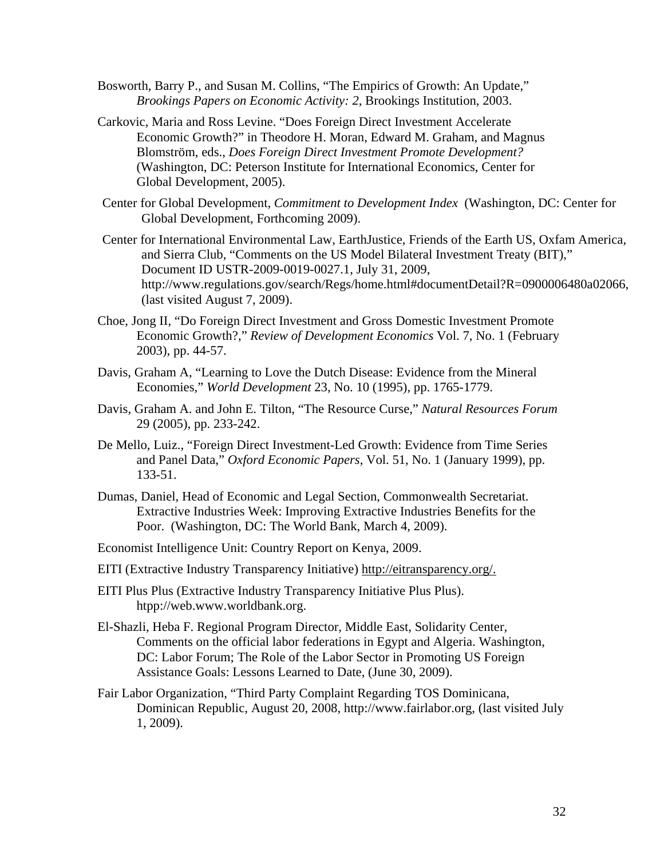- Bosworth, Barry P., and Susan M. Collins, "The Empirics of Growth: An Update," *Brookings Papers on Economic Activity: 2*, Brookings Institution, 2003.
- Carkovic, Maria and Ross Levine. "Does Foreign Direct Investment Accelerate Economic Growth?" in Theodore H. Moran, Edward M. Graham, and Magnus Blomström, eds., *Does Foreign Direct Investment Promote Development?* (Washington, DC: Peterson Institute for International Economics, Center for Global Development, 2005).
- Center for Global Development, *Commitment to Development Index* (Washington, DC: Center for Global Development, Forthcoming 2009).
- Center for International Environmental Law, EarthJustice, Friends of the Earth US, Oxfam America, and Sierra Club, "Comments on the US Model Bilateral Investment Treaty (BIT)," Document ID USTR-2009-0019-0027.1, July 31, 2009, http://www.regulations.gov/search/Regs/home.html#documentDetail?R=0900006480a02066, (last visited August 7, 2009).
- Choe, Jong II, "Do Foreign Direct Investment and Gross Domestic Investment Promote Economic Growth?," *Review of Development Economics* Vol. 7, No. 1 (February 2003), pp. 44-57.
- Davis, Graham A, "Learning to Love the Dutch Disease: Evidence from the Mineral Economies," *World Development* 23, No. 10 (1995), pp. 1765-1779.
- Davis, Graham A. and John E. Tilton, "The Resource Curse," *Natural Resources Forum* 29 (2005), pp. 233-242.
- De Mello, Luiz., "Foreign Direct Investment-Led Growth: Evidence from Time Series and Panel Data," *Oxford Economic Papers*, Vol. 51, No. 1 (January 1999), pp. 133-51.
- Dumas, Daniel, Head of Economic and Legal Section, Commonwealth Secretariat. Extractive Industries Week: Improving Extractive Industries Benefits for the Poor. (Washington, DC: The World Bank, March 4, 2009).
- Economist Intelligence Unit: Country Report on Kenya, 2009.
- EITI (Extractive Industry Transparency Initiative) http://eitransparency.org/.
- EITI Plus Plus (Extractive Industry Transparency Initiative Plus Plus). htpp://web.www.worldbank.org.
- El-Shazli, Heba F. Regional Program Director, Middle East, Solidarity Center, Comments on the official labor federations in Egypt and Algeria. Washington, DC: Labor Forum; The Role of the Labor Sector in Promoting US Foreign Assistance Goals: Lessons Learned to Date, (June 30, 2009).
- Fair Labor Organization, "Third Party Complaint Regarding TOS Dominicana, Dominican Republic, August 20, 2008, http://www.fairlabor.org, (last visited July 1, 2009).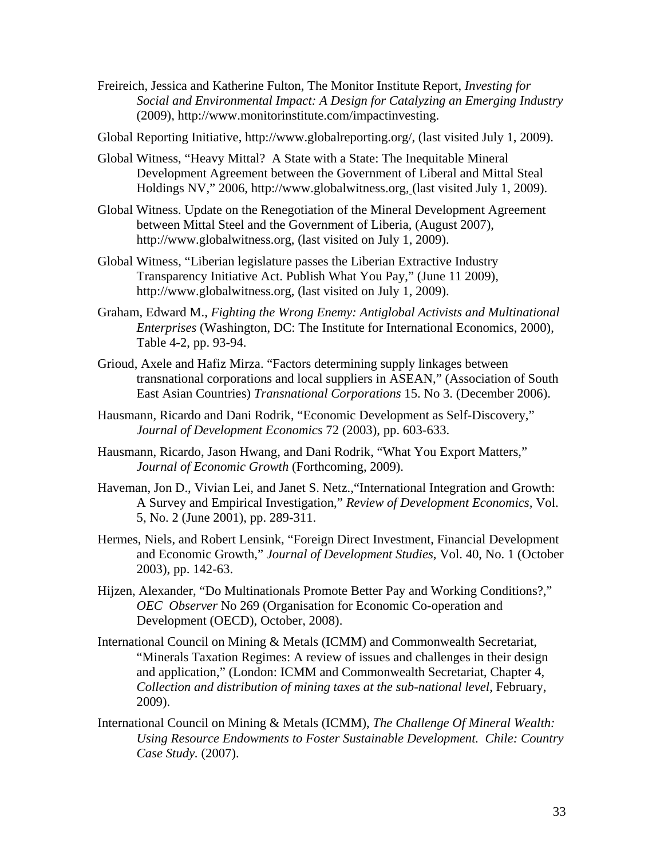- Freireich, Jessica and Katherine Fulton, The Monitor Institute Report, *Investing for Social and Environmental Impact: A Design for Catalyzing an Emerging Industry*  (2009), http://www.monitorinstitute.com/impactinvesting.
- Global Reporting Initiative, http://www.globalreporting.org/, (last visited July 1, 2009).
- Global Witness, "Heavy Mittal? A State with a State: The Inequitable Mineral Development Agreement between the Government of Liberal and Mittal Steal Holdings NV," 2006, http://www.globalwitness.org, (last visited July 1, 2009).
- Global Witness. Update on the Renegotiation of the Mineral Development Agreement between Mittal Steel and the Government of Liberia, (August 2007), http://www.globalwitness.org, (last visited on July 1, 2009).
- Global Witness, "Liberian legislature passes the Liberian Extractive Industry Transparency Initiative Act. Publish What You Pay," (June 11 2009), http://www.globalwitness.org, (last visited on July 1, 2009).
- Graham, Edward M., *Fighting the Wrong Enemy: Antiglobal Activists and Multinational Enterprises* (Washington, DC: The Institute for International Economics, 2000), Table 4-2, pp. 93-94.
- Grioud, Axele and Hafiz Mirza. "Factors determining supply linkages between transnational corporations and local suppliers in ASEAN," (Association of South East Asian Countries) *Transnational Corporations* 15. No 3. (December 2006).
- Hausmann, Ricardo and Dani Rodrik, "Economic Development as Self-Discovery," *Journal of Development Economics* 72 (2003), pp. 603-633.
- Hausmann, Ricardo, Jason Hwang, and Dani Rodrik, "What You Export Matters," *Journal of Economic Growth* (Forthcoming, 2009).
- Haveman, Jon D., Vivian Lei, and Janet S. Netz.,"International Integration and Growth: A Survey and Empirical Investigation," *Review of Development Economics,* Vol. 5, No. 2 (June 2001), pp. 289-311.
- Hermes, Niels, and Robert Lensink, "Foreign Direct Investment, Financial Development and Economic Growth," *Journal of Development Studies*, Vol. 40, No. 1 (October 2003), pp. 142-63.
- Hijzen, Alexander, "Do Multinationals Promote Better Pay and Working Conditions?," *OEC Observer* No 269 (Organisation for Economic Co-operation and Development (OECD), October, 2008).
- International Council on Mining & Metals (ICMM) and Commonwealth Secretariat, "Minerals Taxation Regimes: A review of issues and challenges in their design and application," (London: ICMM and Commonwealth Secretariat, Chapter 4, *Collection and distribution of mining taxes at the sub-national level*, February, 2009).
- International Council on Mining & Metals (ICMM), *The Challenge Of Mineral Wealth: Using Resource Endowments to Foster Sustainable Development. Chile: Country Case Study.* (2007).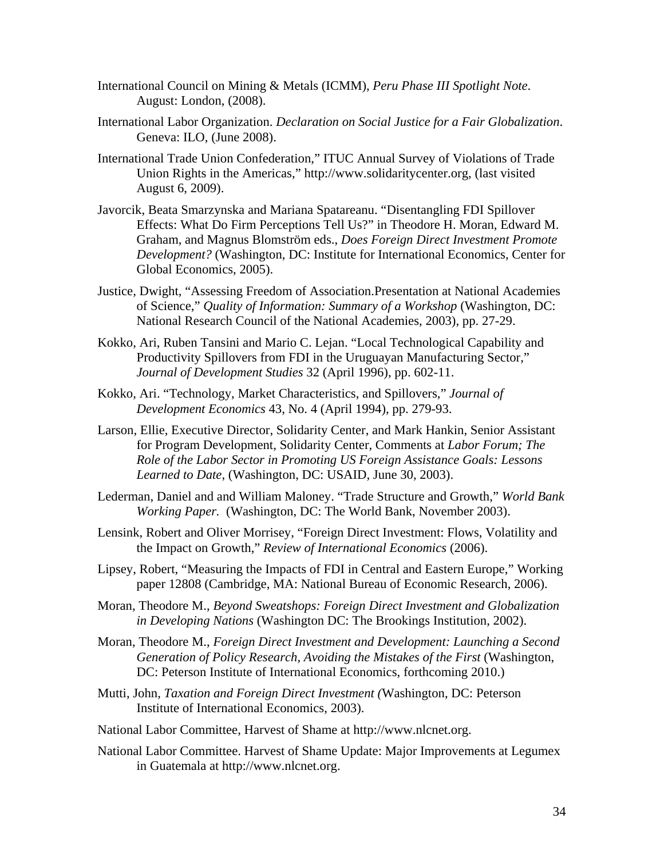- International Council on Mining & Metals (ICMM), *Peru Phase III Spotlight Note*. August: London, (2008).
- International Labor Organization. *Declaration on Social Justice for a Fair Globalization*. Geneva: ILO, (June 2008).
- International Trade Union Confederation," ITUC Annual Survey of Violations of Trade Union Rights in the Americas," http://www.solidaritycenter.org, (last visited August 6, 2009).
- Javorcik, Beata Smarzynska and Mariana Spatareanu. "Disentangling FDI Spillover Effects: What Do Firm Perceptions Tell Us?" in Theodore H. Moran, Edward M. Graham, and Magnus Blomström eds., *Does Foreign Direct Investment Promote Development?* (Washington, DC: Institute for International Economics, Center for Global Economics, 2005).
- Justice, Dwight, "Assessing Freedom of Association.Presentation at National Academies of Science," *Quality of Information: Summary of a Workshop* (Washington, DC: National Research Council of the National Academies, 2003), pp. 27-29.
- Kokko, Ari, Ruben Tansini and Mario C. Lejan. "Local Technological Capability and Productivity Spillovers from FDI in the Uruguayan Manufacturing Sector," *Journal of Development Studies* 32 (April 1996), pp. 602-11.
- Kokko, Ari. "Technology, Market Characteristics, and Spillovers," *Journal of Development Economics* 43, No. 4 (April 1994), pp. 279-93.
- Larson, Ellie, Executive Director, Solidarity Center, and Mark Hankin, Senior Assistant for Program Development, Solidarity Center, Comments at *Labor Forum; The Role of the Labor Sector in Promoting US Foreign Assistance Goals: Lessons Learned to Date*, (Washington, DC: USAID, June 30, 2003).
- Lederman, Daniel and and William Maloney. "Trade Structure and Growth," *World Bank Working Paper.* (Washington, DC: The World Bank, November 2003).
- Lensink, Robert and Oliver Morrisey, "Foreign Direct Investment: Flows, Volatility and the Impact on Growth," *Review of International Economics* (2006).
- Lipsey, Robert, "Measuring the Impacts of FDI in Central and Eastern Europe," Working paper 12808 (Cambridge, MA: National Bureau of Economic Research, 2006).
- Moran, Theodore M., *Beyond Sweatshops: Foreign Direct Investment and Globalization in Developing Nations* (Washington DC: The Brookings Institution, 2002).
- Moran, Theodore M., *Foreign Direct Investment and Development: Launching a Second Generation of Policy Research, Avoiding the Mistakes of the First* (Washington, DC: Peterson Institute of International Economics, forthcoming 2010.)
- Mutti, John, *Taxation and Foreign Direct Investment (*Washington, DC: Peterson Institute of International Economics, 2003).
- National Labor Committee, Harvest of Shame at http://www.nlcnet.org.
- National Labor Committee. Harvest of Shame Update: Major Improvements at Legumex in Guatemala at http://www.nlcnet.org.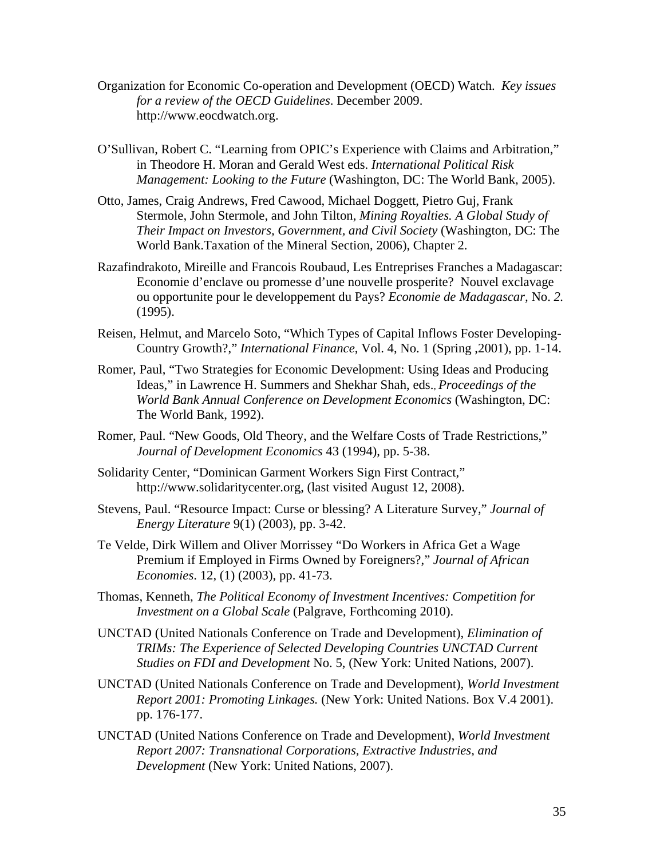- Organization for Economic Co-operation and Development (OECD) Watch. *Key issues for a review of the OECD Guidelines*. December 2009. http://www.eocdwatch.org.
- O'Sullivan, Robert C. "Learning from OPIC's Experience with Claims and Arbitration," in Theodore H. Moran and Gerald West eds. *International Political Risk Management: Looking to the Future* (Washington, DC: The World Bank, 2005).
- Otto, James, Craig Andrews, Fred Cawood, Michael Doggett, Pietro Guj, Frank Stermole, John Stermole, and John Tilton, *Mining Royalties. A Global Study of Their Impact on Investors, Government, and Civil Society* (Washington, DC: The World Bank.Taxation of the Mineral Section, 2006), Chapter 2.
- Razafindrakoto, Mireille and Francois Roubaud, Les Entreprises Franches a Madagascar: Economie d'enclave ou promesse d'une nouvelle prosperite? Nouvel exclavage ou opportunite pour le developpement du Pays? *Economie de Madagascar,* No. *2.* (1995).
- Reisen, Helmut, and Marcelo Soto, "Which Types of Capital Inflows Foster Developing-Country Growth?," *International Finance*, Vol. 4, No. 1 (Spring ,2001), pp. 1-14.
- Romer, Paul, "Two Strategies for Economic Development: Using Ideas and Producing Ideas," in Lawrence H. Summers and Shekhar Shah, eds., *Proceedings of the World Bank Annual Conference on Development Economics* (Washington, DC: The World Bank, 1992).
- Romer, Paul. "New Goods, Old Theory, and the Welfare Costs of Trade Restrictions," *Journal of Development Economics* 43 (1994), pp. 5-38.
- Solidarity Center, "Dominican Garment Workers Sign First Contract," http://www.solidaritycenter.org, (last visited August 12, 2008).
- Stevens, Paul. "Resource Impact: Curse or blessing? A Literature Survey," *Journal of Energy Literature* 9(1) (2003), pp. 3-42.
- Te Velde, Dirk Willem and Oliver Morrissey "Do Workers in Africa Get a Wage Premium if Employed in Firms Owned by Foreigners?," *Journal of African Economies*. 12, (1) (2003), pp. 41-73.
- Thomas, Kenneth, *The Political Economy of Investment Incentives: Competition for Investment on a Global Scale* (Palgrave, Forthcoming 2010).
- UNCTAD (United Nationals Conference on Trade and Development), *Elimination of TRIMs: The Experience of Selected Developing Countries UNCTAD Current Studies on FDI and Development* No. 5, (New York: United Nations, 2007).
- UNCTAD (United Nationals Conference on Trade and Development), *World Investment Report 2001: Promoting Linkages.* (New York: United Nations. Box V.4 2001). pp. 176-177.
- UNCTAD (United Nations Conference on Trade and Development), *World Investment Report 2007: Transnational Corporations, Extractive Industries, and Development* (New York: United Nations, 2007).